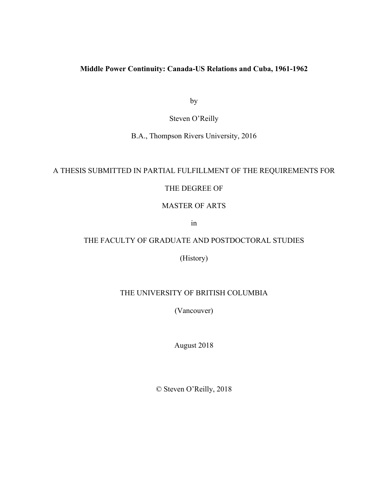### **Middle Power Continuity: Canada-US Relations and Cuba, 1961-1962**

by

Steven O'Reilly

B.A., Thompson Rivers University, 2016

## A THESIS SUBMITTED IN PARTIAL FULFILLMENT OF THE REQUIREMENTS FOR

### THE DEGREE OF

#### MASTER OF ARTS

in

# THE FACULTY OF GRADUATE AND POSTDOCTORAL STUDIES

(History)

## THE UNIVERSITY OF BRITISH COLUMBIA

(Vancouver)

August 2018

© Steven O'Reilly, 2018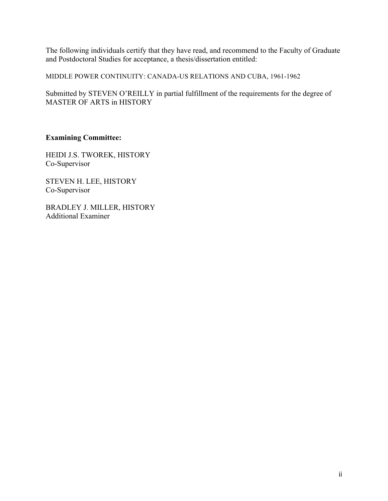The following individuals certify that they have read, and recommend to the Faculty of Graduate and Postdoctoral Studies for acceptance, a thesis/dissertation entitled:

MIDDLE POWER CONTINUITY: CANADA-US RELATIONS AND CUBA, 1961-1962

Submitted by STEVEN O'REILLY in partial fulfillment of the requirements for the degree of MASTER OF ARTS in HISTORY

## **Examining Committee:**

HEIDI J.S. TWOREK, HISTORY Co-Supervisor

STEVEN H. LEE, HISTORY Co-Supervisor

BRADLEY J. MILLER, HISTORY Additional Examiner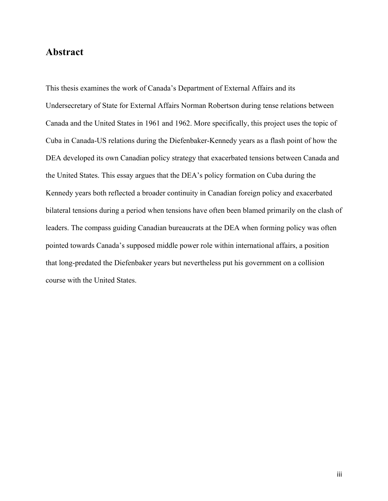## **Abstract**

This thesis examines the work of Canada's Department of External Affairs and its Undersecretary of State for External Affairs Norman Robertson during tense relations between Canada and the United States in 1961 and 1962. More specifically, this project uses the topic of Cuba in Canada-US relations during the Diefenbaker-Kennedy years as a flash point of how the DEA developed its own Canadian policy strategy that exacerbated tensions between Canada and the United States. This essay argues that the DEA's policy formation on Cuba during the Kennedy years both reflected a broader continuity in Canadian foreign policy and exacerbated bilateral tensions during a period when tensions have often been blamed primarily on the clash of leaders. The compass guiding Canadian bureaucrats at the DEA when forming policy was often pointed towards Canada's supposed middle power role within international affairs, a position that long-predated the Diefenbaker years but nevertheless put his government on a collision course with the United States.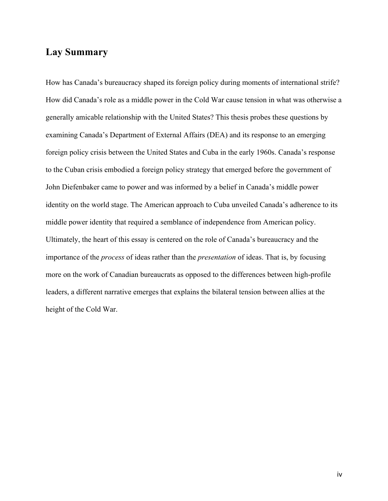# **Lay Summary**

How has Canada's bureaucracy shaped its foreign policy during moments of international strife? How did Canada's role as a middle power in the Cold War cause tension in what was otherwise a generally amicable relationship with the United States? This thesis probes these questions by examining Canada's Department of External Affairs (DEA) and its response to an emerging foreign policy crisis between the United States and Cuba in the early 1960s. Canada's response to the Cuban crisis embodied a foreign policy strategy that emerged before the government of John Diefenbaker came to power and was informed by a belief in Canada's middle power identity on the world stage. The American approach to Cuba unveiled Canada's adherence to its middle power identity that required a semblance of independence from American policy. Ultimately, the heart of this essay is centered on the role of Canada's bureaucracy and the importance of the *process* of ideas rather than the *presentation* of ideas. That is, by focusing more on the work of Canadian bureaucrats as opposed to the differences between high-profile leaders, a different narrative emerges that explains the bilateral tension between allies at the height of the Cold War.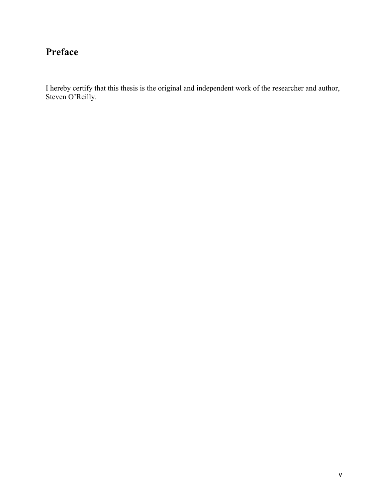# **Preface**

I hereby certify that this thesis is the original and independent work of the researcher and author, Steven O'Reilly.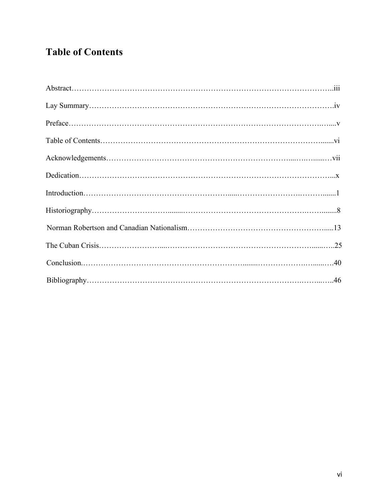# **Table of Contents**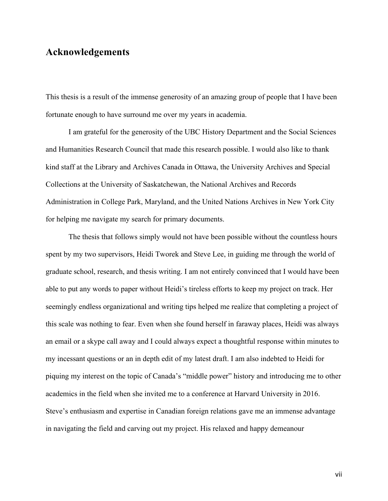## **Acknowledgements**

This thesis is a result of the immense generosity of an amazing group of people that I have been fortunate enough to have surround me over my years in academia.

I am grateful for the generosity of the UBC History Department and the Social Sciences and Humanities Research Council that made this research possible. I would also like to thank kind staff at the Library and Archives Canada in Ottawa, the University Archives and Special Collections at the University of Saskatchewan, the National Archives and Records Administration in College Park, Maryland, and the United Nations Archives in New York City for helping me navigate my search for primary documents.

The thesis that follows simply would not have been possible without the countless hours spent by my two supervisors, Heidi Tworek and Steve Lee, in guiding me through the world of graduate school, research, and thesis writing. I am not entirely convinced that I would have been able to put any words to paper without Heidi's tireless efforts to keep my project on track. Her seemingly endless organizational and writing tips helped me realize that completing a project of this scale was nothing to fear. Even when she found herself in faraway places, Heidi was always an email or a skype call away and I could always expect a thoughtful response within minutes to my incessant questions or an in depth edit of my latest draft. I am also indebted to Heidi for piquing my interest on the topic of Canada's "middle power" history and introducing me to other academics in the field when she invited me to a conference at Harvard University in 2016. Steve's enthusiasm and expertise in Canadian foreign relations gave me an immense advantage in navigating the field and carving out my project. His relaxed and happy demeanour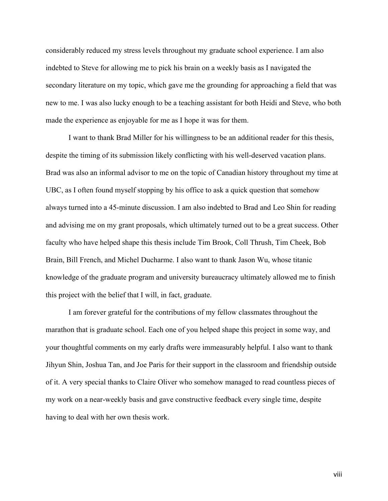considerably reduced my stress levels throughout my graduate school experience. I am also indebted to Steve for allowing me to pick his brain on a weekly basis as I navigated the secondary literature on my topic, which gave me the grounding for approaching a field that was new to me. I was also lucky enough to be a teaching assistant for both Heidi and Steve, who both made the experience as enjoyable for me as I hope it was for them.

I want to thank Brad Miller for his willingness to be an additional reader for this thesis, despite the timing of its submission likely conflicting with his well-deserved vacation plans. Brad was also an informal advisor to me on the topic of Canadian history throughout my time at UBC, as I often found myself stopping by his office to ask a quick question that somehow always turned into a 45-minute discussion. I am also indebted to Brad and Leo Shin for reading and advising me on my grant proposals, which ultimately turned out to be a great success. Other faculty who have helped shape this thesis include Tim Brook, Coll Thrush, Tim Cheek, Bob Brain, Bill French, and Michel Ducharme. I also want to thank Jason Wu, whose titanic knowledge of the graduate program and university bureaucracy ultimately allowed me to finish this project with the belief that I will, in fact, graduate.

I am forever grateful for the contributions of my fellow classmates throughout the marathon that is graduate school. Each one of you helped shape this project in some way, and your thoughtful comments on my early drafts were immeasurably helpful. I also want to thank Jihyun Shin, Joshua Tan, and Joe Paris for their support in the classroom and friendship outside of it. A very special thanks to Claire Oliver who somehow managed to read countless pieces of my work on a near-weekly basis and gave constructive feedback every single time, despite having to deal with her own thesis work.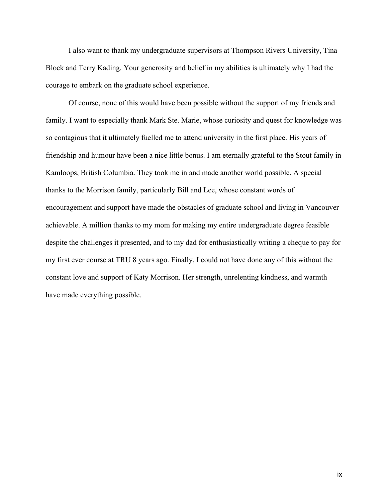I also want to thank my undergraduate supervisors at Thompson Rivers University, Tina Block and Terry Kading. Your generosity and belief in my abilities is ultimately why I had the courage to embark on the graduate school experience.

Of course, none of this would have been possible without the support of my friends and family. I want to especially thank Mark Ste. Marie, whose curiosity and quest for knowledge was so contagious that it ultimately fuelled me to attend university in the first place. His years of friendship and humour have been a nice little bonus. I am eternally grateful to the Stout family in Kamloops, British Columbia. They took me in and made another world possible. A special thanks to the Morrison family, particularly Bill and Lee, whose constant words of encouragement and support have made the obstacles of graduate school and living in Vancouver achievable. A million thanks to my mom for making my entire undergraduate degree feasible despite the challenges it presented, and to my dad for enthusiastically writing a cheque to pay for my first ever course at TRU 8 years ago. Finally, I could not have done any of this without the constant love and support of Katy Morrison. Her strength, unrelenting kindness, and warmth have made everything possible.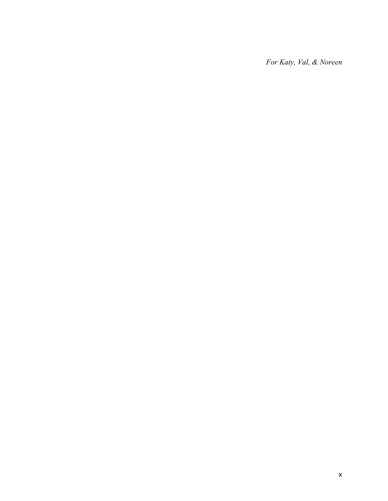*For Katy, Val, & Noreen*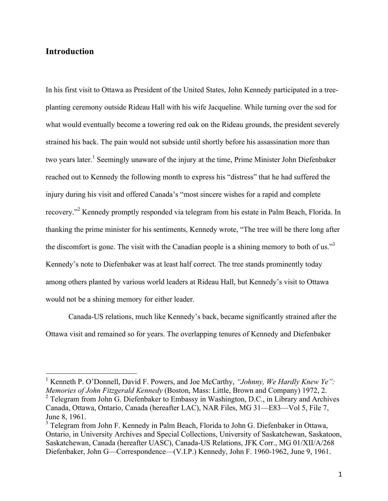## **Introduction**

In his first visit to Ottawa as President of the United States, John Kennedy participated in a treeplanting ceremony outside Rideau Hall with his wife Jacqueline. While turning over the sod for what would eventually become a towering red oak on the Rideau grounds, the president severely strained his back. The pain would not subside until shortly before his assassination more than two years later.<sup>1</sup> Seemingly unaware of the injury at the time, Prime Minister John Diefenbaker reached out to Kennedy the following month to express his "distress" that he had suffered the injury during his visit and offered Canada's "most sincere wishes for a rapid and complete recovery."<sup>2</sup> Kennedy promptly responded via telegram from his estate in Palm Beach, Florida. In thanking the prime minister for his sentiments, Kennedy wrote, "The tree will be there long after the discomfort is gone. The visit with the Canadian people is a shining memory to both of us."<sup>3</sup> Kennedy's note to Diefenbaker was at least half correct. The tree stands prominently today among others planted by various world leaders at Rideau Hall, but Kennedy's visit to Ottawa would not be a shining memory for either leader.

Canada-US relations, much like Kennedy's back, became significantly strained after the Ottawa visit and remained so for years. The overlapping tenures of Kennedy and Diefenbaker

<sup>&</sup>lt;sup>1</sup> Kenneth P. O'Donnell, David F. Powers, and Joe McCarthy, "Johnny, We Hardly Knew Ye": *Memories of John Fitzgerald Kennedy* (Boston, Mass: Little, Brown and Company) 1972, 2.  $2$  Telegram from John  $\overline{G}$ . Diefenbaker to Embassy in Washington, D.C., in Library and Archives Canada, Ottawa, Ontario, Canada (hereafter LAC), NAR Files, MG 31—E83—Vol 5, File 7, June 8, 1961.

 $3$  Telegram from John F. Kennedy in Palm Beach, Florida to John G. Diefenbaker in Ottawa, Ontario, in University Archives and Special Collections, University of Saskatchewan, Saskatoon, Saskatchewan, Canada (hereafter UASC), Canada-US Relations, JFK Corr., MG 01/XII/A/268 Diefenbaker, John G—Correspondence—(V.I.P.) Kennedy, John F. 1960-1962, June 9, 1961.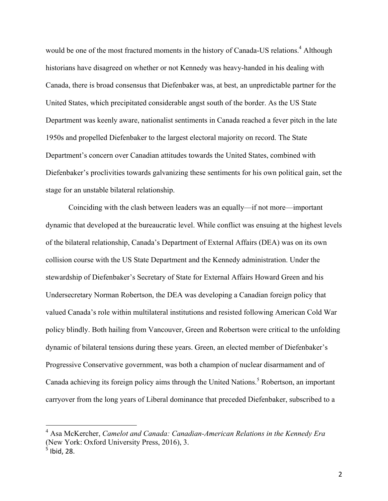would be one of the most fractured moments in the history of Canada-US relations.<sup>4</sup> Although historians have disagreed on whether or not Kennedy was heavy-handed in his dealing with Canada, there is broad consensus that Diefenbaker was, at best, an unpredictable partner for the United States, which precipitated considerable angst south of the border. As the US State Department was keenly aware, nationalist sentiments in Canada reached a fever pitch in the late 1950s and propelled Diefenbaker to the largest electoral majority on record. The State Department's concern over Canadian attitudes towards the United States, combined with Diefenbaker's proclivities towards galvanizing these sentiments for his own political gain, set the stage for an unstable bilateral relationship.

Coinciding with the clash between leaders was an equally—if not more—important dynamic that developed at the bureaucratic level. While conflict was ensuing at the highest levels of the bilateral relationship, Canada's Department of External Affairs (DEA) was on its own collision course with the US State Department and the Kennedy administration. Under the stewardship of Diefenbaker's Secretary of State for External Affairs Howard Green and his Undersecretary Norman Robertson, the DEA was developing a Canadian foreign policy that valued Canada's role within multilateral institutions and resisted following American Cold War policy blindly. Both hailing from Vancouver, Green and Robertson were critical to the unfolding dynamic of bilateral tensions during these years. Green, an elected member of Diefenbaker's Progressive Conservative government, was both a champion of nuclear disarmament and of Canada achieving its foreign policy aims through the United Nations.<sup>5</sup> Robertson, an important carryover from the long years of Liberal dominance that preceded Diefenbaker, subscribed to a

 <sup>4</sup> Asa McKercher, *Camelot and Canada: Canadian-American Relations in the Kennedy Era* (New York: Oxford University Press, 2016), 3.  $<sup>5</sup>$  Ibid, 28.</sup>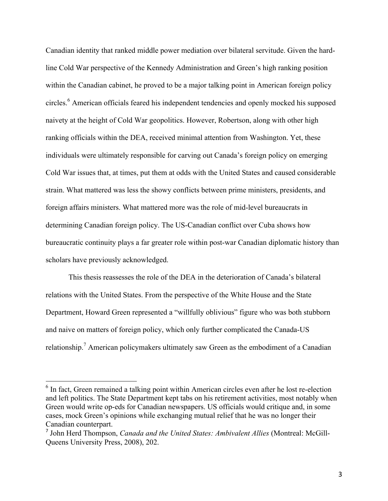Canadian identity that ranked middle power mediation over bilateral servitude. Given the hardline Cold War perspective of the Kennedy Administration and Green's high ranking position within the Canadian cabinet, he proved to be a major talking point in American foreign policy circles.<sup>6</sup> American officials feared his independent tendencies and openly mocked his supposed naivety at the height of Cold War geopolitics. However, Robertson, along with other high ranking officials within the DEA, received minimal attention from Washington. Yet, these individuals were ultimately responsible for carving out Canada's foreign policy on emerging Cold War issues that, at times, put them at odds with the United States and caused considerable strain. What mattered was less the showy conflicts between prime ministers, presidents, and foreign affairs ministers. What mattered more was the role of mid-level bureaucrats in determining Canadian foreign policy. The US-Canadian conflict over Cuba shows how bureaucratic continuity plays a far greater role within post-war Canadian diplomatic history than scholars have previously acknowledged.

This thesis reassesses the role of the DEA in the deterioration of Canada's bilateral relations with the United States. From the perspective of the White House and the State Department, Howard Green represented a "willfully oblivious" figure who was both stubborn and naive on matters of foreign policy, which only further complicated the Canada-US relationship.<sup>7</sup> American policymakers ultimately saw Green as the embodiment of a Canadian

 $<sup>6</sup>$  In fact, Green remained a talking point within American circles even after he lost re-election</sup> and left politics. The State Department kept tabs on his retirement activities, most notably when Green would write op-eds for Canadian newspapers. US officials would critique and, in some cases, mock Green's opinions while exchanging mutual relief that he was no longer their Canadian counterpart.

<sup>7</sup> John Herd Thompson, *Canada and the United States: Ambivalent Allies* (Montreal: McGill-Queens University Press, 2008), 202.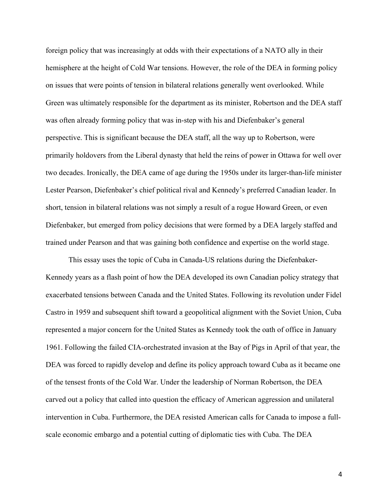foreign policy that was increasingly at odds with their expectations of a NATO ally in their hemisphere at the height of Cold War tensions. However, the role of the DEA in forming policy on issues that were points of tension in bilateral relations generally went overlooked. While Green was ultimately responsible for the department as its minister, Robertson and the DEA staff was often already forming policy that was in-step with his and Diefenbaker's general perspective. This is significant because the DEA staff, all the way up to Robertson, were primarily holdovers from the Liberal dynasty that held the reins of power in Ottawa for well over two decades. Ironically, the DEA came of age during the 1950s under its larger-than-life minister Lester Pearson, Diefenbaker's chief political rival and Kennedy's preferred Canadian leader. In short, tension in bilateral relations was not simply a result of a rogue Howard Green, or even Diefenbaker, but emerged from policy decisions that were formed by a DEA largely staffed and trained under Pearson and that was gaining both confidence and expertise on the world stage.

This essay uses the topic of Cuba in Canada-US relations during the Diefenbaker-Kennedy years as a flash point of how the DEA developed its own Canadian policy strategy that exacerbated tensions between Canada and the United States. Following its revolution under Fidel Castro in 1959 and subsequent shift toward a geopolitical alignment with the Soviet Union, Cuba represented a major concern for the United States as Kennedy took the oath of office in January 1961. Following the failed CIA-orchestrated invasion at the Bay of Pigs in April of that year, the DEA was forced to rapidly develop and define its policy approach toward Cuba as it became one of the tensest fronts of the Cold War. Under the leadership of Norman Robertson, the DEA carved out a policy that called into question the efficacy of American aggression and unilateral intervention in Cuba. Furthermore, the DEA resisted American calls for Canada to impose a fullscale economic embargo and a potential cutting of diplomatic ties with Cuba. The DEA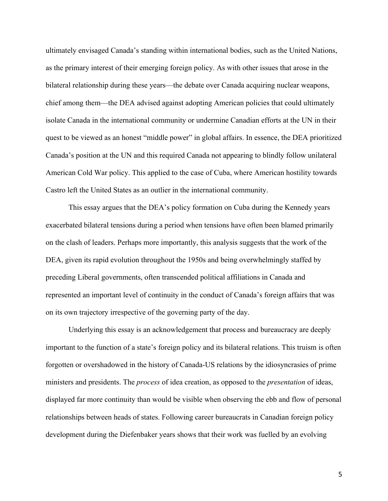ultimately envisaged Canada's standing within international bodies, such as the United Nations, as the primary interest of their emerging foreign policy. As with other issues that arose in the bilateral relationship during these years—the debate over Canada acquiring nuclear weapons, chief among them—the DEA advised against adopting American policies that could ultimately isolate Canada in the international community or undermine Canadian efforts at the UN in their quest to be viewed as an honest "middle power" in global affairs. In essence, the DEA prioritized Canada's position at the UN and this required Canada not appearing to blindly follow unilateral American Cold War policy. This applied to the case of Cuba, where American hostility towards Castro left the United States as an outlier in the international community.

This essay argues that the DEA's policy formation on Cuba during the Kennedy years exacerbated bilateral tensions during a period when tensions have often been blamed primarily on the clash of leaders. Perhaps more importantly, this analysis suggests that the work of the DEA, given its rapid evolution throughout the 1950s and being overwhelmingly staffed by preceding Liberal governments, often transcended political affiliations in Canada and represented an important level of continuity in the conduct of Canada's foreign affairs that was on its own trajectory irrespective of the governing party of the day.

Underlying this essay is an acknowledgement that process and bureaucracy are deeply important to the function of a state's foreign policy and its bilateral relations. This truism is often forgotten or overshadowed in the history of Canada-US relations by the idiosyncrasies of prime ministers and presidents. The *process* of idea creation, as opposed to the *presentation* of ideas, displayed far more continuity than would be visible when observing the ebb and flow of personal relationships between heads of states. Following career bureaucrats in Canadian foreign policy development during the Diefenbaker years shows that their work was fuelled by an evolving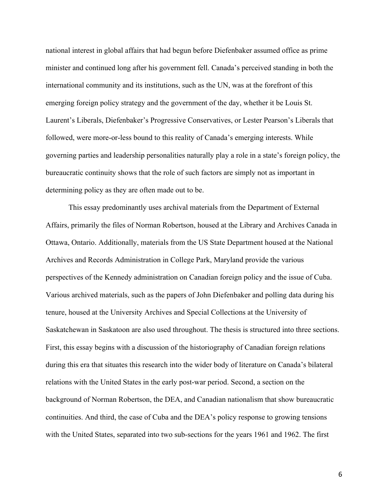national interest in global affairs that had begun before Diefenbaker assumed office as prime minister and continued long after his government fell. Canada's perceived standing in both the international community and its institutions, such as the UN, was at the forefront of this emerging foreign policy strategy and the government of the day, whether it be Louis St. Laurent's Liberals, Diefenbaker's Progressive Conservatives, or Lester Pearson's Liberals that followed, were more-or-less bound to this reality of Canada's emerging interests. While governing parties and leadership personalities naturally play a role in a state's foreign policy, the bureaucratic continuity shows that the role of such factors are simply not as important in determining policy as they are often made out to be.

This essay predominantly uses archival materials from the Department of External Affairs, primarily the files of Norman Robertson, housed at the Library and Archives Canada in Ottawa, Ontario. Additionally, materials from the US State Department housed at the National Archives and Records Administration in College Park, Maryland provide the various perspectives of the Kennedy administration on Canadian foreign policy and the issue of Cuba. Various archived materials, such as the papers of John Diefenbaker and polling data during his tenure, housed at the University Archives and Special Collections at the University of Saskatchewan in Saskatoon are also used throughout. The thesis is structured into three sections. First, this essay begins with a discussion of the historiography of Canadian foreign relations during this era that situates this research into the wider body of literature on Canada's bilateral relations with the United States in the early post-war period. Second, a section on the background of Norman Robertson, the DEA, and Canadian nationalism that show bureaucratic continuities. And third, the case of Cuba and the DEA's policy response to growing tensions with the United States, separated into two sub-sections for the years 1961 and 1962. The first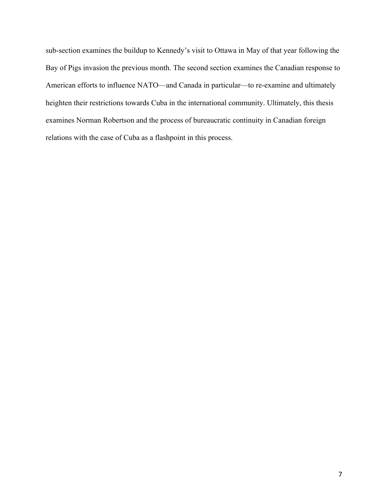sub-section examines the buildup to Kennedy's visit to Ottawa in May of that year following the Bay of Pigs invasion the previous month. The second section examines the Canadian response to American efforts to influence NATO—and Canada in particular—to re-examine and ultimately heighten their restrictions towards Cuba in the international community. Ultimately, this thesis examines Norman Robertson and the process of bureaucratic continuity in Canadian foreign relations with the case of Cuba as a flashpoint in this process.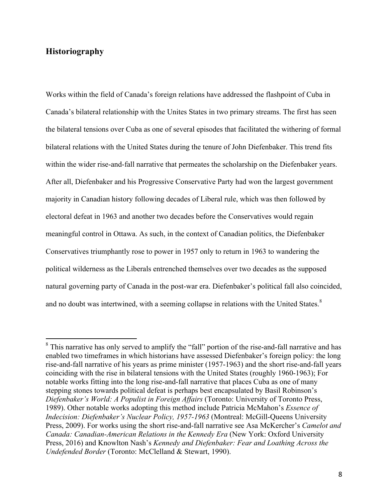# **Historiography**

Works within the field of Canada's foreign relations have addressed the flashpoint of Cuba in Canada's bilateral relationship with the Unites States in two primary streams. The first has seen the bilateral tensions over Cuba as one of several episodes that facilitated the withering of formal bilateral relations with the United States during the tenure of John Diefenbaker. This trend fits within the wider rise-and-fall narrative that permeates the scholarship on the Diefenbaker years. After all, Diefenbaker and his Progressive Conservative Party had won the largest government majority in Canadian history following decades of Liberal rule, which was then followed by electoral defeat in 1963 and another two decades before the Conservatives would regain meaningful control in Ottawa. As such, in the context of Canadian politics, the Diefenbaker Conservatives triumphantly rose to power in 1957 only to return in 1963 to wandering the political wilderness as the Liberals entrenched themselves over two decades as the supposed natural governing party of Canada in the post-war era. Diefenbaker's political fall also coincided, and no doubt was intertwined, with a seeming collapse in relations with the United States.<sup>8</sup>

<sup>&</sup>lt;sup>8</sup> This narrative has only served to amplify the "fall" portion of the rise-and-fall narrative and has enabled two timeframes in which historians have assessed Diefenbaker's foreign policy: the long rise-and-fall narrative of his years as prime minister (1957-1963) and the short rise-and-fall years coinciding with the rise in bilateral tensions with the United States (roughly 1960-1963); For notable works fitting into the long rise-and-fall narrative that places Cuba as one of many stepping stones towards political defeat is perhaps best encapsulated by Basil Robinson's *Diefenbaker's World: A Populist in Foreign Affairs* (Toronto: University of Toronto Press, 1989). Other notable works adopting this method include Patricia McMahon's *Essence of Indecision: Diefenbaker's Nuclear Policy, 1957-1963* (Montreal: McGill-Queens University Press, 2009). For works using the short rise-and-fall narrative see Asa McKercher's *Camelot and Canada: Canadian-American Relations in the Kennedy Era (New York: Oxford University* Press, 2016) and Knowlton Nash's *Kennedy and Diefenbaker: Fear and Loathing Across the Undefended Border* (Toronto: McClelland & Stewart, 1990).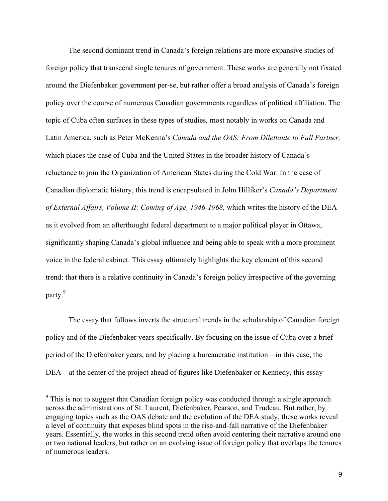The second dominant trend in Canada's foreign relations are more expansive studies of foreign policy that transcend single tenures of government. These works are generally not fixated around the Diefenbaker government per-se, but rather offer a broad analysis of Canada's foreign policy over the course of numerous Canadian governments regardless of political affiliation. The topic of Cuba often surfaces in these types of studies, most notably in works on Canada and Latin America, such as Peter McKenna's *Canada and the OAS: From Dilettante to Full Partner,*  which places the case of Cuba and the United States in the broader history of Canada's reluctance to join the Organization of American States during the Cold War. In the case of Canadian diplomatic history, this trend is encapsulated in John Hilliker's *Canada's Department of External Affairs, Volume II: Coming of Age, 1946-1968,* which writes the history of the DEA as it evolved from an afterthought federal department to a major political player in Ottawa, significantly shaping Canada's global influence and being able to speak with a more prominent voice in the federal cabinet. This essay ultimately highlights the key element of this second trend: that there is a relative continuity in Canada's foreign policy irrespective of the governing party.<sup>9</sup>

The essay that follows inverts the structural trends in the scholarship of Canadian foreign policy and of the Diefenbaker years specifically. By focusing on the issue of Cuba over a brief period of the Diefenbaker years, and by placing a bureaucratic institution—in this case, the DEA—at the center of the project ahead of figures like Diefenbaker or Kennedy, this essay

<sup>&</sup>lt;sup>9</sup> This is not to suggest that Canadian foreign policy was conducted through a single approach across the administrations of St. Laurent, Diefenbaker, Pearson, and Trudeau. But rather, by engaging topics such as the OAS debate and the evolution of the DEA study, these works reveal a level of continuity that exposes blind spots in the rise-and-fall narrative of the Diefenbaker years. Essentially, the works in this second trend often avoid centering their narrative around one or two national leaders, but rather on an evolving issue of foreign policy that overlaps the tenures of numerous leaders.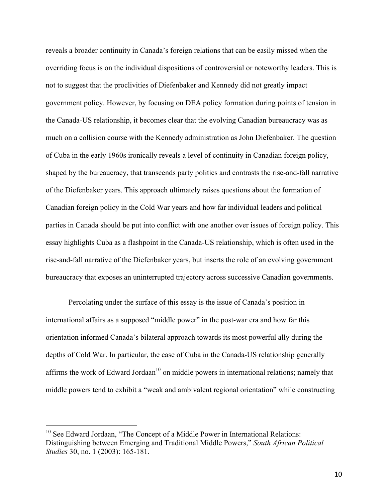reveals a broader continuity in Canada's foreign relations that can be easily missed when the overriding focus is on the individual dispositions of controversial or noteworthy leaders. This is not to suggest that the proclivities of Diefenbaker and Kennedy did not greatly impact government policy. However, by focusing on DEA policy formation during points of tension in the Canada-US relationship, it becomes clear that the evolving Canadian bureaucracy was as much on a collision course with the Kennedy administration as John Diefenbaker. The question of Cuba in the early 1960s ironically reveals a level of continuity in Canadian foreign policy, shaped by the bureaucracy, that transcends party politics and contrasts the rise-and-fall narrative of the Diefenbaker years. This approach ultimately raises questions about the formation of Canadian foreign policy in the Cold War years and how far individual leaders and political parties in Canada should be put into conflict with one another over issues of foreign policy. This essay highlights Cuba as a flashpoint in the Canada-US relationship, which is often used in the rise-and-fall narrative of the Diefenbaker years, but inserts the role of an evolving government bureaucracy that exposes an uninterrupted trajectory across successive Canadian governments.

Percolating under the surface of this essay is the issue of Canada's position in international affairs as a supposed "middle power" in the post-war era and how far this orientation informed Canada's bilateral approach towards its most powerful ally during the depths of Cold War. In particular, the case of Cuba in the Canada-US relationship generally affirms the work of Edward Jordaan<sup>10</sup> on middle powers in international relations; namely that middle powers tend to exhibit a "weak and ambivalent regional orientation" while constructing

 $10$  See Edward Jordaan, "The Concept of a Middle Power in International Relations: Distinguishing between Emerging and Traditional Middle Powers," *South African Political Studies* 30, no. 1 (2003): 165-181.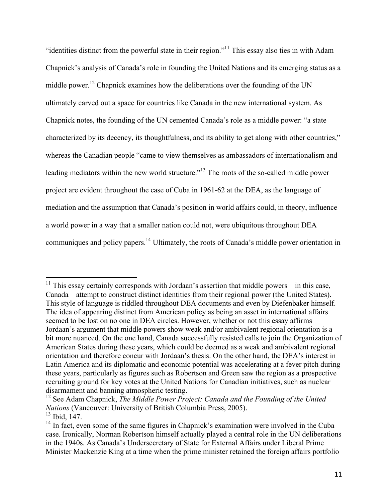"identities distinct from the powerful state in their region."11 This essay also ties in with Adam Chapnick's analysis of Canada's role in founding the United Nations and its emerging status as a middle power.<sup>12</sup> Chapnick examines how the deliberations over the founding of the UN ultimately carved out a space for countries like Canada in the new international system. As Chapnick notes, the founding of the UN cemented Canada's role as a middle power: "a state characterized by its decency, its thoughtfulness, and its ability to get along with other countries," whereas the Canadian people "came to view themselves as ambassadors of internationalism and leading mediators within the new world structure."<sup>13</sup> The roots of the so-called middle power project are evident throughout the case of Cuba in 1961-62 at the DEA, as the language of mediation and the assumption that Canada's position in world affairs could, in theory, influence a world power in a way that a smaller nation could not, were ubiquitous throughout DEA communiques and policy papers.14 Ultimately, the roots of Canada's middle power orientation in

 $11$  This essay certainly corresponds with Jordaan's assertion that middle powers—in this case, Canada—attempt to construct distinct identities from their regional power (the United States). This style of language is riddled throughout DEA documents and even by Diefenbaker himself. The idea of appearing distinct from American policy as being an asset in international affairs seemed to be lost on no one in DEA circles. However, whether or not this essay affirms Jordaan's argument that middle powers show weak and/or ambivalent regional orientation is a bit more nuanced. On the one hand, Canada successfully resisted calls to join the Organization of American States during these years, which could be deemed as a weak and ambivalent regional orientation and therefore concur with Jordaan's thesis. On the other hand, the DEA's interest in Latin America and its diplomatic and economic potential was accelerating at a fever pitch during these years, particularly as figures such as Robertson and Green saw the region as a prospective recruiting ground for key votes at the United Nations for Canadian initiatives, such as nuclear disarmament and banning atmospheric testing.

<sup>&</sup>lt;sup>12</sup> See Adam Chapnick, *The Middle Power Project: Canada and the Founding of the United Nations* (Vancouver: University of British Columbia Press, 2005).  $13$  Ibid,  $147$ .

 $14$  In fact, even some of the same figures in Chapnick's examination were involved in the Cuba case. Ironically, Norman Robertson himself actually played a central role in the UN deliberations in the 1940s. As Canada's Undersecretary of State for External Affairs under Liberal Prime Minister Mackenzie King at a time when the prime minister retained the foreign affairs portfolio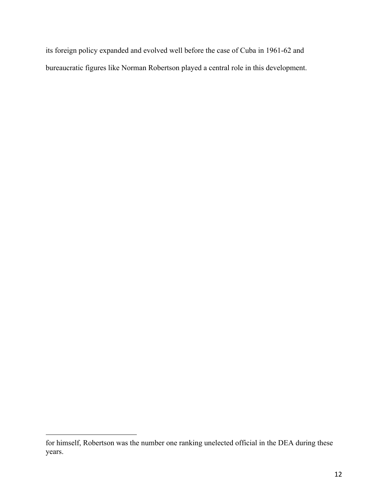its foreign policy expanded and evolved well before the case of Cuba in 1961-62 and bureaucratic figures like Norman Robertson played a central role in this development.

 

for himself, Robertson was the number one ranking unelected official in the DEA during these years.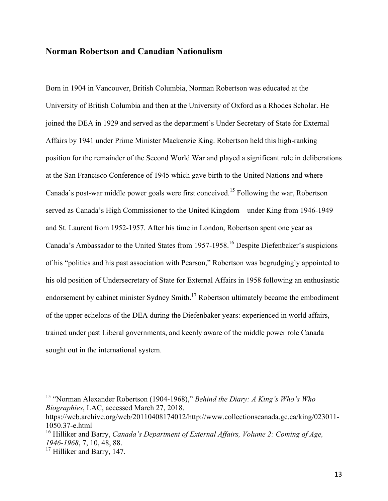#### **Norman Robertson and Canadian Nationalism**

Born in 1904 in Vancouver, British Columbia, Norman Robertson was educated at the University of British Columbia and then at the University of Oxford as a Rhodes Scholar. He joined the DEA in 1929 and served as the department's Under Secretary of State for External Affairs by 1941 under Prime Minister Mackenzie King. Robertson held this high-ranking position for the remainder of the Second World War and played a significant role in deliberations at the San Francisco Conference of 1945 which gave birth to the United Nations and where Canada's post-war middle power goals were first conceived.<sup>15</sup> Following the war, Robertson served as Canada's High Commissioner to the United Kingdom—under King from 1946-1949 and St. Laurent from 1952-1957. After his time in London, Robertson spent one year as Canada's Ambassador to the United States from 1957-1958.16 Despite Diefenbaker's suspicions of his "politics and his past association with Pearson," Robertson was begrudgingly appointed to his old position of Undersecretary of State for External Affairs in 1958 following an enthusiastic endorsement by cabinet minister Sydney Smith.<sup>17</sup> Robertson ultimately became the embodiment of the upper echelons of the DEA during the Diefenbaker years: experienced in world affairs, trained under past Liberal governments, and keenly aware of the middle power role Canada sought out in the international system.

 <sup>15</sup> "Norman Alexander Robertson (1904-1968)," *Behind the Diary: A King's Who's Who Biographies*, LAC, accessed March 27, 2018.

https://web.archive.org/web/20110408174012/http://www.collectionscanada.gc.ca/king/023011- 1050.37-e.html

<sup>16</sup> Hilliker and Barry, *Canada's Department of External Affairs, Volume 2: Coming of Age, 1946-1968*, 7, 10, 48, 88.

<sup>&</sup>lt;sup>17</sup> Hilliker and Barry, 147.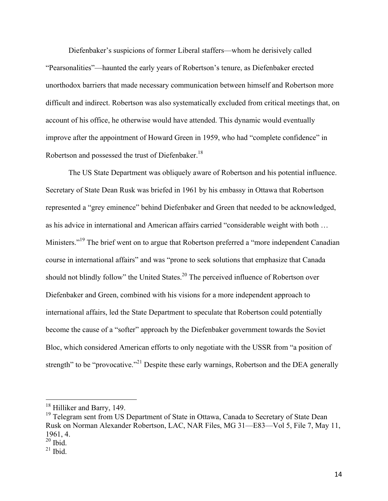Diefenbaker's suspicions of former Liberal staffers—whom he derisively called "Pearsonalities"—haunted the early years of Robertson's tenure, as Diefenbaker erected unorthodox barriers that made necessary communication between himself and Robertson more difficult and indirect. Robertson was also systematically excluded from critical meetings that, on account of his office, he otherwise would have attended. This dynamic would eventually improve after the appointment of Howard Green in 1959, who had "complete confidence" in Robertson and possessed the trust of Diefenbaker.<sup>18</sup>

The US State Department was obliquely aware of Robertson and his potential influence. Secretary of State Dean Rusk was briefed in 1961 by his embassy in Ottawa that Robertson represented a "grey eminence" behind Diefenbaker and Green that needed to be acknowledged, as his advice in international and American affairs carried "considerable weight with both … Ministers."<sup>19</sup> The brief went on to argue that Robertson preferred a "more independent Canadian" course in international affairs" and was "prone to seek solutions that emphasize that Canada should not blindly follow" the United States.<sup>20</sup> The perceived influence of Robertson over Diefenbaker and Green, combined with his visions for a more independent approach to international affairs, led the State Department to speculate that Robertson could potentially become the cause of a "softer" approach by the Diefenbaker government towards the Soviet Bloc, which considered American efforts to only negotiate with the USSR from "a position of strength" to be "provocative."<sup>21</sup> Despite these early warnings, Robertson and the DEA generally

<sup>&</sup>lt;sup>18</sup> Hilliker and Barry, 149.

<sup>&</sup>lt;sup>19</sup> Telegram sent from US Department of State in Ottawa, Canada to Secretary of State Dean Rusk on Norman Alexander Robertson, LAC, NAR Files, MG 31—E83—Vol 5, File 7, May 11, 1961, 4.

 $20$  Ibid.

 $21$  Ibid.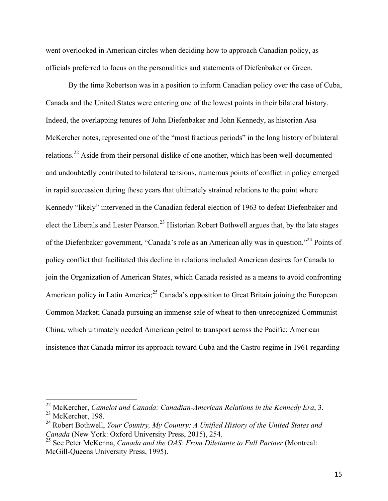went overlooked in American circles when deciding how to approach Canadian policy, as officials preferred to focus on the personalities and statements of Diefenbaker or Green.

By the time Robertson was in a position to inform Canadian policy over the case of Cuba, Canada and the United States were entering one of the lowest points in their bilateral history. Indeed, the overlapping tenures of John Diefenbaker and John Kennedy, as historian Asa McKercher notes, represented one of the "most fractious periods" in the long history of bilateral relations.<sup>22</sup> Aside from their personal dislike of one another, which has been well-documented and undoubtedly contributed to bilateral tensions, numerous points of conflict in policy emerged in rapid succession during these years that ultimately strained relations to the point where Kennedy "likely" intervened in the Canadian federal election of 1963 to defeat Diefenbaker and elect the Liberals and Lester Pearson.<sup>23</sup> Historian Robert Bothwell argues that, by the late stages of the Diefenbaker government, "Canada's role as an American ally was in question."<sup>24</sup> Points of policy conflict that facilitated this decline in relations included American desires for Canada to join the Organization of American States, which Canada resisted as a means to avoid confronting American policy in Latin America;<sup>25</sup> Canada's opposition to Great Britain joining the European Common Market; Canada pursuing an immense sale of wheat to then-unrecognized Communist China, which ultimately needed American petrol to transport across the Pacific; American insistence that Canada mirror its approach toward Cuba and the Castro regime in 1961 regarding

 <sup>22</sup> McKercher, *Camelot and Canada: Canadian-American Relations in the Kennedy Era*, 3. <sup>23</sup> McKercher, 198.

<sup>24</sup> Robert Bothwell, *Your Country, My Country: A Unified History of the United States and Canada* (New York: Oxford University Press, 2015), 254.<br><sup>25</sup> See Peter McKenna, *Canada and the OAS: From Dilettante to Full Partner* (Montreal:

McGill-Queens University Press, 1995).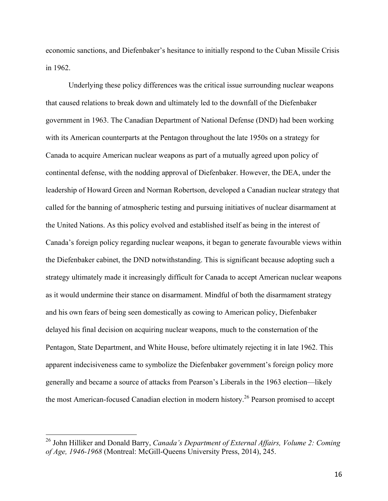economic sanctions, and Diefenbaker's hesitance to initially respond to the Cuban Missile Crisis in 1962.

Underlying these policy differences was the critical issue surrounding nuclear weapons that caused relations to break down and ultimately led to the downfall of the Diefenbaker government in 1963. The Canadian Department of National Defense (DND) had been working with its American counterparts at the Pentagon throughout the late 1950s on a strategy for Canada to acquire American nuclear weapons as part of a mutually agreed upon policy of continental defense, with the nodding approval of Diefenbaker. However, the DEA, under the leadership of Howard Green and Norman Robertson, developed a Canadian nuclear strategy that called for the banning of atmospheric testing and pursuing initiatives of nuclear disarmament at the United Nations. As this policy evolved and established itself as being in the interest of Canada's foreign policy regarding nuclear weapons, it began to generate favourable views within the Diefenbaker cabinet, the DND notwithstanding. This is significant because adopting such a strategy ultimately made it increasingly difficult for Canada to accept American nuclear weapons as it would undermine their stance on disarmament. Mindful of both the disarmament strategy and his own fears of being seen domestically as cowing to American policy, Diefenbaker delayed his final decision on acquiring nuclear weapons, much to the consternation of the Pentagon, State Department, and White House, before ultimately rejecting it in late 1962. This apparent indecisiveness came to symbolize the Diefenbaker government's foreign policy more generally and became a source of attacks from Pearson's Liberals in the 1963 election—likely the most American-focused Canadian election in modern history.<sup>26</sup> Pearson promised to accept

 <sup>26</sup> John Hilliker and Donald Barry, *Canada's Department of External Affairs, Volume 2: Coming of Age, 1946-1968* (Montreal: McGill-Queens University Press, 2014), 245.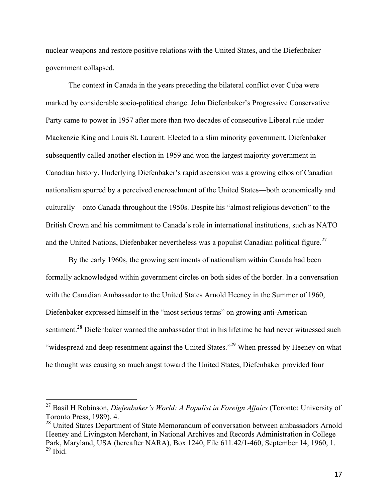nuclear weapons and restore positive relations with the United States, and the Diefenbaker government collapsed.

The context in Canada in the years preceding the bilateral conflict over Cuba were marked by considerable socio-political change. John Diefenbaker's Progressive Conservative Party came to power in 1957 after more than two decades of consecutive Liberal rule under Mackenzie King and Louis St. Laurent. Elected to a slim minority government, Diefenbaker subsequently called another election in 1959 and won the largest majority government in Canadian history. Underlying Diefenbaker's rapid ascension was a growing ethos of Canadian nationalism spurred by a perceived encroachment of the United States—both economically and culturally—onto Canada throughout the 1950s. Despite his "almost religious devotion" to the British Crown and his commitment to Canada's role in international institutions, such as NATO and the United Nations, Diefenbaker nevertheless was a populist Canadian political figure.<sup>27</sup>

By the early 1960s, the growing sentiments of nationalism within Canada had been formally acknowledged within government circles on both sides of the border. In a conversation with the Canadian Ambassador to the United States Arnold Heeney in the Summer of 1960, Diefenbaker expressed himself in the "most serious terms" on growing anti-American sentiment.<sup>28</sup> Diefenbaker warned the ambassador that in his lifetime he had never witnessed such "widespread and deep resentment against the United States."<sup>29</sup> When pressed by Heeney on what he thought was causing so much angst toward the United States, Diefenbaker provided four

 <sup>27</sup> Basil H Robinson, *Diefenbaker's World: A Populist in Foreign Affairs* (Toronto: University of Toronto Press, 1989), 4.

<sup>&</sup>lt;sup>28</sup> United States Department of State Memorandum of conversation between ambassadors Arnold Heeney and Livingston Merchant, in National Archives and Records Administration in College Park, Maryland, USA (hereafter NARA), Box 1240, File 611.42/1-460, September 14, 1960, 1.  $29$  Ibid.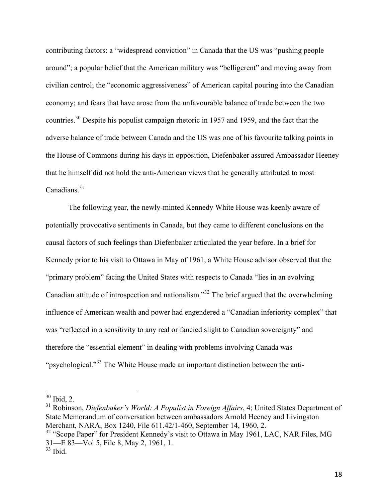contributing factors: a "widespread conviction" in Canada that the US was "pushing people around"; a popular belief that the American military was "belligerent" and moving away from civilian control; the "economic aggressiveness" of American capital pouring into the Canadian economy; and fears that have arose from the unfavourable balance of trade between the two countries.<sup>30</sup> Despite his populist campaign rhetoric in 1957 and 1959, and the fact that the adverse balance of trade between Canada and the US was one of his favourite talking points in the House of Commons during his days in opposition, Diefenbaker assured Ambassador Heeney that he himself did not hold the anti-American views that he generally attributed to most Canadians. $31$ 

The following year, the newly-minted Kennedy White House was keenly aware of potentially provocative sentiments in Canada, but they came to different conclusions on the causal factors of such feelings than Diefenbaker articulated the year before. In a brief for Kennedy prior to his visit to Ottawa in May of 1961, a White House advisor observed that the "primary problem" facing the United States with respects to Canada "lies in an evolving Canadian attitude of introspection and nationalism."32 The brief argued that the overwhelming influence of American wealth and power had engendered a "Canadian inferiority complex" that was "reflected in a sensitivity to any real or fancied slight to Canadian sovereignty" and therefore the "essential element" in dealing with problems involving Canada was "psychological."<sup>33</sup> The White House made an important distinction between the anti-

 <sup>30</sup> Ibid, 2.

<sup>31</sup> Robinson, *Diefenbaker's World: A Populist in Foreign Affairs*, 4; United States Department of State Memorandum of conversation between ambassadors Arnold Heeney and Livingston Merchant, NARA, Box 1240, File 611.42/1-460, September 14, 1960, 2.

 $32$  "Scope Paper" for President Kennedy's visit to Ottawa in May 1961, LAC, NAR Files, MG 31—E 83—Vol 5, File 8, May 2, 1961, 1. <sup>33</sup> Ibid.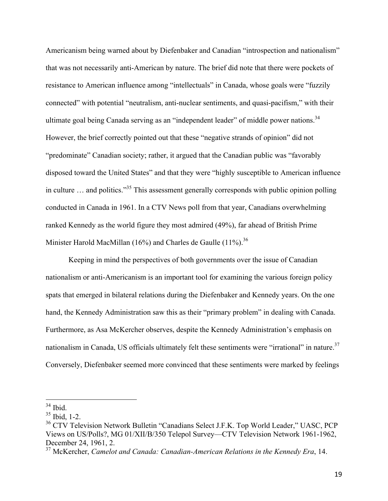Americanism being warned about by Diefenbaker and Canadian "introspection and nationalism" that was not necessarily anti-American by nature. The brief did note that there were pockets of resistance to American influence among "intellectuals" in Canada, whose goals were "fuzzily connected" with potential "neutralism, anti-nuclear sentiments, and quasi-pacifism," with their ultimate goal being Canada serving as an "independent leader" of middle power nations.<sup>34</sup> However, the brief correctly pointed out that these "negative strands of opinion" did not "predominate" Canadian society; rather, it argued that the Canadian public was "favorably disposed toward the United States" and that they were "highly susceptible to American influence in culture … and politics."<sup>35</sup> This assessment generally corresponds with public opinion polling conducted in Canada in 1961. In a CTV News poll from that year, Canadians overwhelming ranked Kennedy as the world figure they most admired (49%), far ahead of British Prime Minister Harold MacMillan (16%) and Charles de Gaulle (11%).<sup>36</sup>

Keeping in mind the perspectives of both governments over the issue of Canadian nationalism or anti-Americanism is an important tool for examining the various foreign policy spats that emerged in bilateral relations during the Diefenbaker and Kennedy years. On the one hand, the Kennedy Administration saw this as their "primary problem" in dealing with Canada. Furthermore, as Asa McKercher observes, despite the Kennedy Administration's emphasis on nationalism in Canada, US officials ultimately felt these sentiments were "irrational" in nature.<sup>37</sup> Conversely, Diefenbaker seemed more convinced that these sentiments were marked by feelings

 <sup>34</sup> Ibid.

<sup>35</sup> Ibid, 1-2.

<sup>&</sup>lt;sup>36</sup> CTV Television Network Bulletin "Canadians Select J.F.K. Top World Leader," UASC, PCP Views on US/Polls?, MG 01/XII/B/350 Telepol Survey—CTV Television Network 1961-1962, December 24, 1961, 2.<br><sup>37</sup> McKercher, *Camelot and Canada: Canadian-American Relations in the Kennedy Era*, 14.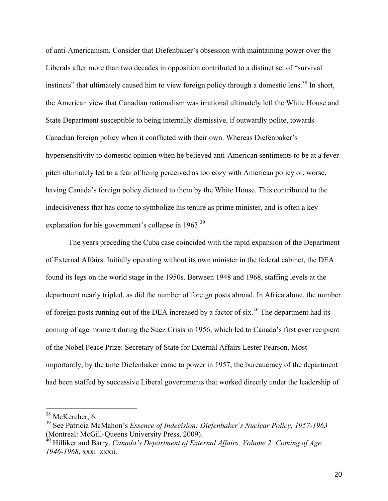of anti-Americanism. Consider that Diefenbaker's obsession with maintaining power over the Liberals after more than two decades in opposition contributed to a distinct set of "survival instincts" that ultimately caused him to view foreign policy through a domestic lens.<sup>38</sup> In short, the American view that Canadian nationalism was irrational ultimately left the White House and State Department susceptible to being internally dismissive, if outwardly polite, towards Canadian foreign policy when it conflicted with their own. Whereas Diefenbaker's hypersensitivity to domestic opinion when he believed anti-American sentiments to be at a fever pitch ultimately led to a fear of being perceived as too cozy with American policy or, worse, having Canada's foreign policy dictated to them by the White House. This contributed to the indecisiveness that has come to symbolize his tenure as prime minister, and is often a key explanation for his government's collapse in 1963.<sup>39</sup>

The years preceding the Cuba case coincided with the rapid expansion of the Department of External Affairs. Initially operating without its own minister in the federal cabinet, the DEA found its legs on the world stage in the 1950s. Between 1948 and 1968, staffing levels at the department nearly tripled, as did the number of foreign posts abroad. In Africa alone, the number of foreign posts running out of the DEA increased by a factor of  $six<sup>40</sup>$  The department had its coming of age moment during the Suez Crisis in 1956, which led to Canada's first ever recipient of the Nobel Peace Prize: Secretary of State for External Affairs Lester Pearson. Most importantly, by the time Diefenbaker came to power in 1957, the bureaucracy of the department had been staffed by successive Liberal governments that worked directly under the leadership of

<sup>&</sup>lt;sup>38</sup> McKercher, 6.

<sup>39</sup> See Patricia McMahon's *Essence of Indecision: Diefenbaker's Nuclear Policy, 1957-1963*  (Montreal: McGill-Queens University Press, 2009).

<sup>&</sup>lt;sup>40</sup> Hilliker and Barry, *Canada's Department of External Affairs, Volume 2: Coming of Age, 1946-1968*, xxxi–xxxii.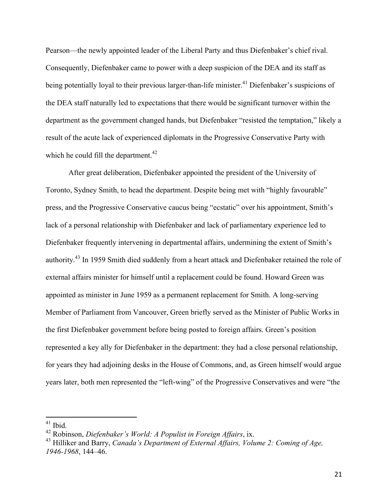Pearson—the newly appointed leader of the Liberal Party and thus Diefenbaker's chief rival. Consequently, Diefenbaker came to power with a deep suspicion of the DEA and its staff as being potentially loyal to their previous larger-than-life minister.<sup>41</sup> Diefenbaker's suspicions of the DEA staff naturally led to expectations that there would be significant turnover within the department as the government changed hands, but Diefenbaker "resisted the temptation," likely a result of the acute lack of experienced diplomats in the Progressive Conservative Party with which he could fill the department. $42$ 

After great deliberation, Diefenbaker appointed the president of the University of Toronto, Sydney Smith, to head the department. Despite being met with "highly favourable" press, and the Progressive Conservative caucus being "ecstatic" over his appointment, Smith's lack of a personal relationship with Diefenbaker and lack of parliamentary experience led to Diefenbaker frequently intervening in departmental affairs, undermining the extent of Smith's authority.43 In 1959 Smith died suddenly from a heart attack and Diefenbaker retained the role of external affairs minister for himself until a replacement could be found. Howard Green was appointed as minister in June 1959 as a permanent replacement for Smith. A long-serving Member of Parliament from Vancouver, Green briefly served as the Minister of Public Works in the first Diefenbaker government before being posted to foreign affairs. Green's position represented a key ally for Diefenbaker in the department: they had a close personal relationship, for years they had adjoining desks in the House of Commons, and, as Green himself would argue years later, both men represented the "left-wing" of the Progressive Conservatives and were "the

 $41$  Ibid.

<sup>42</sup> Robinson, *Diefenbaker's World: A Populist in Foreign Affairs*, ix.

<sup>43</sup> Hilliker and Barry, *Canada's Department of External Affairs, Volume 2: Coming of Age, 1946-1968*, 144–46.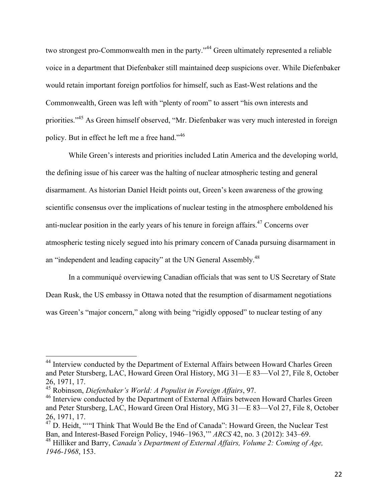two strongest pro-Commonwealth men in the party."<sup>44</sup> Green ultimately represented a reliable voice in a department that Diefenbaker still maintained deep suspicions over. While Diefenbaker would retain important foreign portfolios for himself, such as East-West relations and the Commonwealth, Green was left with "plenty of room" to assert "his own interests and priorities."45 As Green himself observed, "Mr. Diefenbaker was very much interested in foreign policy. But in effect he left me a free hand."<sup>46</sup>

While Green's interests and priorities included Latin America and the developing world, the defining issue of his career was the halting of nuclear atmospheric testing and general disarmament. As historian Daniel Heidt points out, Green's keen awareness of the growing scientific consensus over the implications of nuclear testing in the atmosphere emboldened his anti-nuclear position in the early years of his tenure in foreign affairs.<sup>47</sup> Concerns over atmospheric testing nicely segued into his primary concern of Canada pursuing disarmament in an "independent and leading capacity" at the UN General Assembly.<sup>48</sup>

In a communiqué overviewing Canadian officials that was sent to US Secretary of State Dean Rusk, the US embassy in Ottawa noted that the resumption of disarmament negotiations was Green's "major concern," along with being "rigidly opposed" to nuclear testing of any

<sup>&</sup>lt;sup>44</sup> Interview conducted by the Department of External Affairs between Howard Charles Green and Peter Stursberg, LAC, Howard Green Oral History, MG 31—E 83—Vol 27, File 8, October 26, 1971, 17. <sup>45</sup> Robinson, *Diefenbaker's World: A Populist in Foreign Affairs*, 97.

<sup>&</sup>lt;sup>46</sup> Interview conducted by the Department of External Affairs between Howard Charles Green and Peter Stursberg, LAC, Howard Green Oral History, MG 31—E 83—Vol 27, File 8, October

<sup>26, 1971, 17.&</sup>lt;br><sup>47</sup> D. Heidt, ""I Think That Would Be the End of Canada": Howard Green, the Nuclear Test Ban, and Interest-Based Foreign Policy, 1946–1963,'" *ARCS* 42, no. 3 (2012): 343–69.

<sup>48</sup> Hilliker and Barry, *Canada's Department of External Affairs, Volume 2: Coming of Age, 1946-1968*, 153.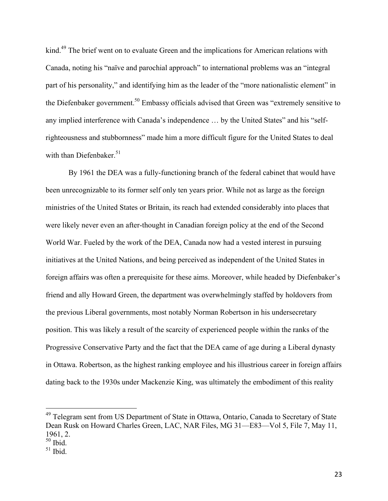kind.<sup>49</sup> The brief went on to evaluate Green and the implications for American relations with Canada, noting his "naïve and parochial approach" to international problems was an "integral part of his personality," and identifying him as the leader of the "more nationalistic element" in the Diefenbaker government.<sup>50</sup> Embassy officials advised that Green was "extremely sensitive to any implied interference with Canada's independence … by the United States" and his "selfrighteousness and stubbornness" made him a more difficult figure for the United States to deal with than Diefenbaker. $51$ 

By 1961 the DEA was a fully-functioning branch of the federal cabinet that would have been unrecognizable to its former self only ten years prior. While not as large as the foreign ministries of the United States or Britain, its reach had extended considerably into places that were likely never even an after-thought in Canadian foreign policy at the end of the Second World War. Fueled by the work of the DEA, Canada now had a vested interest in pursuing initiatives at the United Nations, and being perceived as independent of the United States in foreign affairs was often a prerequisite for these aims. Moreover, while headed by Diefenbaker's friend and ally Howard Green, the department was overwhelmingly staffed by holdovers from the previous Liberal governments, most notably Norman Robertson in his undersecretary position. This was likely a result of the scarcity of experienced people within the ranks of the Progressive Conservative Party and the fact that the DEA came of age during a Liberal dynasty in Ottawa. Robertson, as the highest ranking employee and his illustrious career in foreign affairs dating back to the 1930s under Mackenzie King, was ultimately the embodiment of this reality

<sup>&</sup>lt;sup>49</sup> Telegram sent from US Department of State in Ottawa, Ontario, Canada to Secretary of State Dean Rusk on Howard Charles Green, LAC, NAR Files, MG 31—E83—Vol 5, File 7, May 11, 1961, 2.

 $50$  Ibid.

 $51$  Ibid.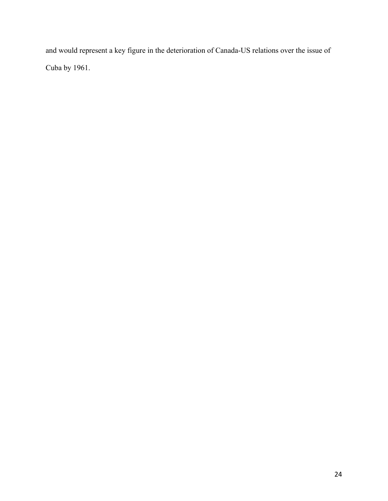and would represent a key figure in the deterioration of Canada-US relations over the issue of Cuba by 1961.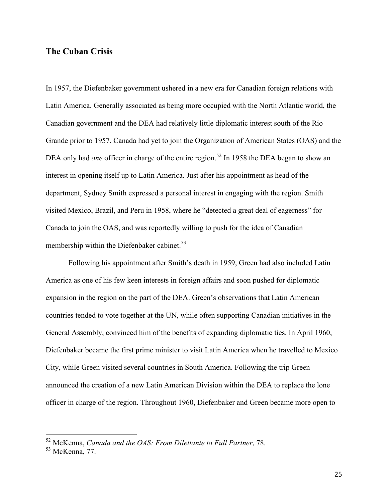## **The Cuban Crisis**

In 1957, the Diefenbaker government ushered in a new era for Canadian foreign relations with Latin America. Generally associated as being more occupied with the North Atlantic world, the Canadian government and the DEA had relatively little diplomatic interest south of the Rio Grande prior to 1957. Canada had yet to join the Organization of American States (OAS) and the DEA only had *one* officer in charge of the entire region.<sup>52</sup> In 1958 the DEA began to show an interest in opening itself up to Latin America. Just after his appointment as head of the department, Sydney Smith expressed a personal interest in engaging with the region. Smith visited Mexico, Brazil, and Peru in 1958, where he "detected a great deal of eagerness" for Canada to join the OAS, and was reportedly willing to push for the idea of Canadian membership within the Diefenbaker cabinet.<sup>53</sup>

Following his appointment after Smith's death in 1959, Green had also included Latin America as one of his few keen interests in foreign affairs and soon pushed for diplomatic expansion in the region on the part of the DEA. Green's observations that Latin American countries tended to vote together at the UN, while often supporting Canadian initiatives in the General Assembly, convinced him of the benefits of expanding diplomatic ties. In April 1960, Diefenbaker became the first prime minister to visit Latin America when he travelled to Mexico City, while Green visited several countries in South America. Following the trip Green announced the creation of a new Latin American Division within the DEA to replace the lone officer in charge of the region. Throughout 1960, Diefenbaker and Green became more open to

 <sup>52</sup> McKenna, *Canada and the OAS: From Dilettante to Full Partner*, 78.

<sup>53</sup> McKenna, 77.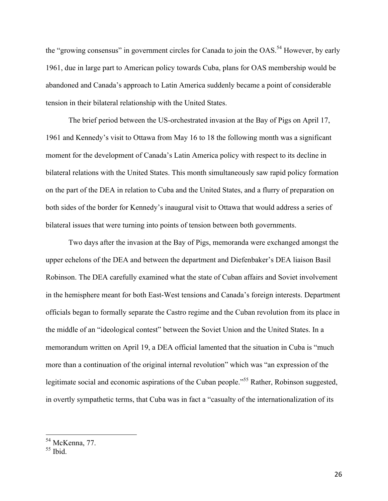the "growing consensus" in government circles for Canada to join the OAS.<sup>54</sup> However, by early 1961, due in large part to American policy towards Cuba, plans for OAS membership would be abandoned and Canada's approach to Latin America suddenly became a point of considerable tension in their bilateral relationship with the United States.

The brief period between the US-orchestrated invasion at the Bay of Pigs on April 17, 1961 and Kennedy's visit to Ottawa from May 16 to 18 the following month was a significant moment for the development of Canada's Latin America policy with respect to its decline in bilateral relations with the United States. This month simultaneously saw rapid policy formation on the part of the DEA in relation to Cuba and the United States, and a flurry of preparation on both sides of the border for Kennedy's inaugural visit to Ottawa that would address a series of bilateral issues that were turning into points of tension between both governments.

Two days after the invasion at the Bay of Pigs, memoranda were exchanged amongst the upper echelons of the DEA and between the department and Diefenbaker's DEA liaison Basil Robinson. The DEA carefully examined what the state of Cuban affairs and Soviet involvement in the hemisphere meant for both East-West tensions and Canada's foreign interests. Department officials began to formally separate the Castro regime and the Cuban revolution from its place in the middle of an "ideological contest" between the Soviet Union and the United States. In a memorandum written on April 19, a DEA official lamented that the situation in Cuba is "much more than a continuation of the original internal revolution" which was "an expression of the legitimate social and economic aspirations of the Cuban people."<sup>55</sup> Rather, Robinson suggested, in overtly sympathetic terms, that Cuba was in fact a "casualty of the internationalization of its

 <sup>54</sup> McKenna, 77.

 $55$  Ibid.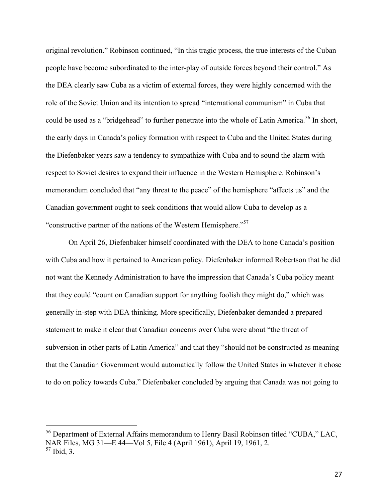original revolution." Robinson continued, "In this tragic process, the true interests of the Cuban people have become subordinated to the inter-play of outside forces beyond their control." As the DEA clearly saw Cuba as a victim of external forces, they were highly concerned with the role of the Soviet Union and its intention to spread "international communism" in Cuba that could be used as a "bridgehead" to further penetrate into the whole of Latin America.<sup>56</sup> In short, the early days in Canada's policy formation with respect to Cuba and the United States during the Diefenbaker years saw a tendency to sympathize with Cuba and to sound the alarm with respect to Soviet desires to expand their influence in the Western Hemisphere. Robinson's memorandum concluded that "any threat to the peace" of the hemisphere "affects us" and the Canadian government ought to seek conditions that would allow Cuba to develop as a "constructive partner of the nations of the Western Hemisphere."57

On April 26, Diefenbaker himself coordinated with the DEA to hone Canada's position with Cuba and how it pertained to American policy. Diefenbaker informed Robertson that he did not want the Kennedy Administration to have the impression that Canada's Cuba policy meant that they could "count on Canadian support for anything foolish they might do," which was generally in-step with DEA thinking. More specifically, Diefenbaker demanded a prepared statement to make it clear that Canadian concerns over Cuba were about "the threat of subversion in other parts of Latin America" and that they "should not be constructed as meaning that the Canadian Government would automatically follow the United States in whatever it chose to do on policy towards Cuba." Diefenbaker concluded by arguing that Canada was not going to

 <sup>56</sup> Department of External Affairs memorandum to Henry Basil Robinson titled "CUBA," LAC, NAR Files, MG 31—E 44—Vol 5, File 4 (April 1961), April 19, 1961, 2. <sup>57</sup> Ibid, 3.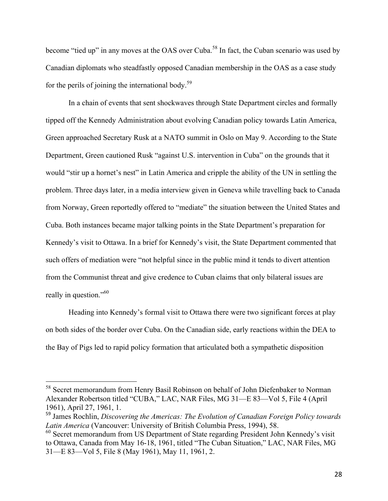become "tied up" in any moves at the OAS over Cuba.<sup>58</sup> In fact, the Cuban scenario was used by Canadian diplomats who steadfastly opposed Canadian membership in the OAS as a case study for the perils of joining the international body.<sup>59</sup>

In a chain of events that sent shockwaves through State Department circles and formally tipped off the Kennedy Administration about evolving Canadian policy towards Latin America, Green approached Secretary Rusk at a NATO summit in Oslo on May 9. According to the State Department, Green cautioned Rusk "against U.S. intervention in Cuba" on the grounds that it would "stir up a hornet's nest" in Latin America and cripple the ability of the UN in settling the problem. Three days later, in a media interview given in Geneva while travelling back to Canada from Norway, Green reportedly offered to "mediate" the situation between the United States and Cuba. Both instances became major talking points in the State Department's preparation for Kennedy's visit to Ottawa. In a brief for Kennedy's visit, the State Department commented that such offers of mediation were "not helpful since in the public mind it tends to divert attention from the Communist threat and give credence to Cuban claims that only bilateral issues are really in question."<sup>60</sup>

Heading into Kennedy's formal visit to Ottawa there were two significant forces at play on both sides of the border over Cuba. On the Canadian side, early reactions within the DEA to the Bay of Pigs led to rapid policy formation that articulated both a sympathetic disposition

 <sup>58</sup> Secret memorandum from Henry Basil Robinson on behalf of John Diefenbaker to Norman Alexander Robertson titled "CUBA," LAC, NAR Files, MG 31—E 83—Vol 5, File 4 (April 1961), April 27, 1961, 1.

<sup>59</sup> James Rochlin, *Discovering the Americas: The Evolution of Canadian Foreign Policy towards Latin America* (Vancouver: University of British Columbia Press, 1994), 58.<br><sup>60</sup> Secret memorandum from US Department of State regarding President John Kennedy's visit

to Ottawa, Canada from May 16-18, 1961, titled "The Cuban Situation," LAC, NAR Files, MG 31—E 83—Vol 5, File 8 (May 1961), May 11, 1961, 2.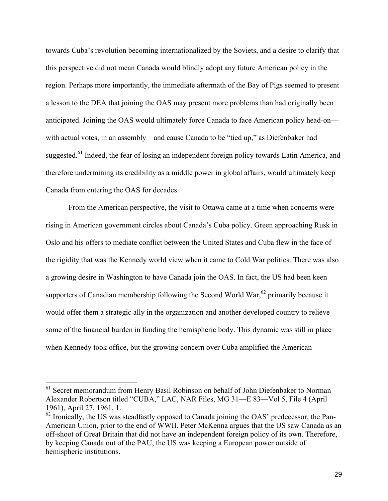towards Cuba's revolution becoming internationalized by the Soviets, and a desire to clarify that this perspective did not mean Canada would blindly adopt any future American policy in the region. Perhaps more importantly, the immediate aftermath of the Bay of Pigs seemed to present a lesson to the DEA that joining the OAS may present more problems than had originally been anticipated. Joining the OAS would ultimately force Canada to face American policy head-on with actual votes, in an assembly—and cause Canada to be "tied up," as Diefenbaker had suggested.<sup>61</sup> Indeed, the fear of losing an independent foreign policy towards Latin America, and therefore undermining its credibility as a middle power in global affairs, would ultimately keep Canada from entering the OAS for decades.

From the American perspective, the visit to Ottawa came at a time when concerns were rising in American government circles about Canada's Cuba policy. Green approaching Rusk in Oslo and his offers to mediate conflict between the United States and Cuba flew in the face of the rigidity that was the Kennedy world view when it came to Cold War politics. There was also a growing desire in Washington to have Canada join the OAS. In fact, the US had been keen supporters of Canadian membership following the Second World War,<sup>62</sup> primarily because it would offer them a strategic ally in the organization and another developed country to relieve some of the financial burden in funding the hemispheric body. This dynamic was still in place when Kennedy took office, but the growing concern over Cuba amplified the American

<sup>&</sup>lt;sup>61</sup> Secret memorandum from Henry Basil Robinson on behalf of John Diefenbaker to Norman Alexander Robertson titled "CUBA," LAC, NAR Files, MG 31—E 83—Vol 5, File 4 (April 1961), April 27, 1961, 1.<br><sup>62</sup> Ironically, the US was steadfastly opposed to Canada joining the OAS' predecessor, the Pan-

American Union, prior to the end of WWII. Peter McKenna argues that the US saw Canada as an off-shoot of Great Britain that did not have an independent foreign policy of its own. Therefore, by keeping Canada out of the PAU, the US was keeping a European power outside of hemispheric institutions.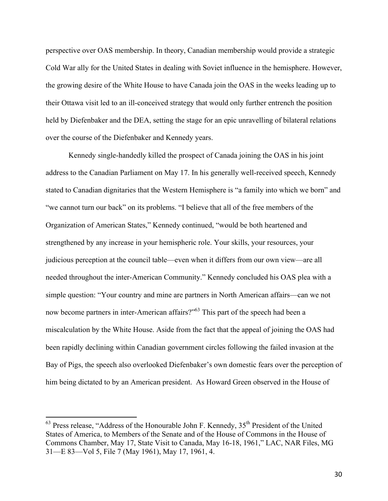perspective over OAS membership. In theory, Canadian membership would provide a strategic Cold War ally for the United States in dealing with Soviet influence in the hemisphere. However, the growing desire of the White House to have Canada join the OAS in the weeks leading up to their Ottawa visit led to an ill-conceived strategy that would only further entrench the position held by Diefenbaker and the DEA, setting the stage for an epic unravelling of bilateral relations over the course of the Diefenbaker and Kennedy years.

Kennedy single-handedly killed the prospect of Canada joining the OAS in his joint address to the Canadian Parliament on May 17. In his generally well-received speech, Kennedy stated to Canadian dignitaries that the Western Hemisphere is "a family into which we born" and "we cannot turn our back" on its problems. "I believe that all of the free members of the Organization of American States," Kennedy continued, "would be both heartened and strengthened by any increase in your hemispheric role. Your skills, your resources, your judicious perception at the council table—even when it differs from our own view—are all needed throughout the inter-American Community." Kennedy concluded his OAS plea with a simple question: "Your country and mine are partners in North American affairs—can we not now become partners in inter-American affairs?"<sup>63</sup> This part of the speech had been a miscalculation by the White House. Aside from the fact that the appeal of joining the OAS had been rapidly declining within Canadian government circles following the failed invasion at the Bay of Pigs, the speech also overlooked Diefenbaker's own domestic fears over the perception of him being dictated to by an American president. As Howard Green observed in the House of

 $63$  Press release, "Address of the Honourable John F. Kennedy,  $35<sup>th</sup>$  President of the United States of America, to Members of the Senate and of the House of Commons in the House of Commons Chamber, May 17, State Visit to Canada, May 16-18, 1961," LAC, NAR Files, MG 31—E 83—Vol 5, File 7 (May 1961), May 17, 1961, 4.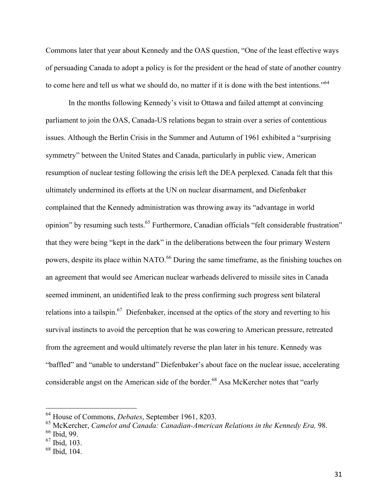Commons later that year about Kennedy and the OAS question, "One of the least effective ways of persuading Canada to adopt a policy is for the president or the head of state of another country to come here and tell us what we should do, no matter if it is done with the best intentions."<sup>64</sup>

In the months following Kennedy's visit to Ottawa and failed attempt at convincing parliament to join the OAS, Canada-US relations began to strain over a series of contentious issues. Although the Berlin Crisis in the Summer and Autumn of 1961 exhibited a "surprising symmetry" between the United States and Canada, particularly in public view, American resumption of nuclear testing following the crisis left the DEA perplexed. Canada felt that this ultimately undermined its efforts at the UN on nuclear disarmament, and Diefenbaker complained that the Kennedy administration was throwing away its "advantage in world opinion" by resuming such tests.<sup>65</sup> Furthermore, Canadian officials "felt considerable frustration" that they were being "kept in the dark" in the deliberations between the four primary Western powers, despite its place within NATO.<sup>66</sup> During the same timeframe, as the finishing touches on an agreement that would see American nuclear warheads delivered to missile sites in Canada seemed imminent, an unidentified leak to the press confirming such progress sent bilateral relations into a tailspin.<sup>67</sup> Diefenbaker, incensed at the optics of the story and reverting to his survival instincts to avoid the perception that he was cowering to American pressure, retreated from the agreement and would ultimately reverse the plan later in his tenure. Kennedy was "baffled" and "unable to understand" Diefenbaker's about face on the nuclear issue, accelerating considerable angst on the American side of the border.<sup>68</sup> Asa McKercher notes that "early"

 <sup>64</sup> House of Commons, *Debates*, September 1961, 8203.

<sup>&</sup>lt;sup>65</sup> McKercher, *Camelot and Canada: Canadian-American Relations in the Kennedy Era, 98.* <sup>66</sup> Ibid. 99.

<sup>67</sup> Ibid, 103.

<sup>68</sup> Ibid, 104.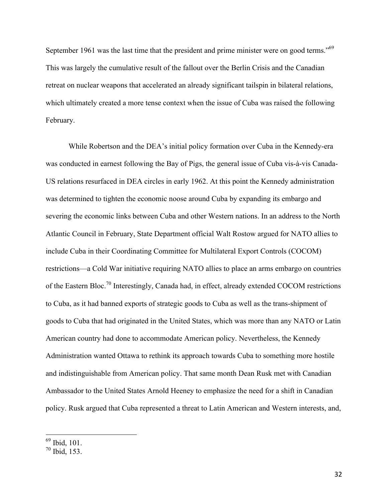September 1961 was the last time that the president and prime minister were on good terms."<sup>69</sup> This was largely the cumulative result of the fallout over the Berlin Crisis and the Canadian retreat on nuclear weapons that accelerated an already significant tailspin in bilateral relations, which ultimately created a more tense context when the issue of Cuba was raised the following February.

While Robertson and the DEA's initial policy formation over Cuba in the Kennedy-era was conducted in earnest following the Bay of Pigs, the general issue of Cuba vis-à-vis Canada-US relations resurfaced in DEA circles in early 1962. At this point the Kennedy administration was determined to tighten the economic noose around Cuba by expanding its embargo and severing the economic links between Cuba and other Western nations. In an address to the North Atlantic Council in February, State Department official Walt Rostow argued for NATO allies to include Cuba in their Coordinating Committee for Multilateral Export Controls (COCOM) restrictions—a Cold War initiative requiring NATO allies to place an arms embargo on countries of the Eastern Bloc.70 Interestingly, Canada had, in effect, already extended COCOM restrictions to Cuba, as it had banned exports of strategic goods to Cuba as well as the trans-shipment of goods to Cuba that had originated in the United States, which was more than any NATO or Latin American country had done to accommodate American policy. Nevertheless, the Kennedy Administration wanted Ottawa to rethink its approach towards Cuba to something more hostile and indistinguishable from American policy. That same month Dean Rusk met with Canadian Ambassador to the United States Arnold Heeney to emphasize the need for a shift in Canadian policy. Rusk argued that Cuba represented a threat to Latin American and Western interests, and,

 <sup>69</sup> Ibid, 101.

 $70$  Ibid. 153.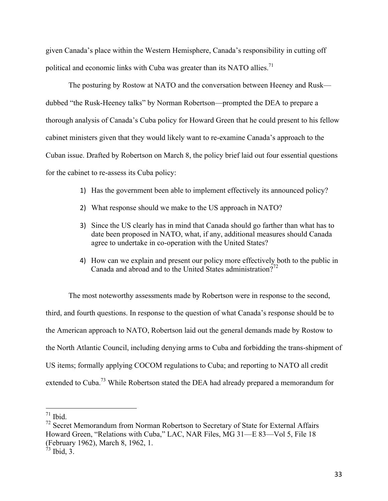given Canada's place within the Western Hemisphere, Canada's responsibility in cutting off political and economic links with Cuba was greater than its NATO allies.<sup>71</sup>

The posturing by Rostow at NATO and the conversation between Heeney and Rusk dubbed "the Rusk-Heeney talks" by Norman Robertson—prompted the DEA to prepare a thorough analysis of Canada's Cuba policy for Howard Green that he could present to his fellow cabinet ministers given that they would likely want to re-examine Canada's approach to the Cuban issue. Drafted by Robertson on March 8, the policy brief laid out four essential questions for the cabinet to re-assess its Cuba policy:

- 1) Has the government been able to implement effectively its announced policy?
- 2) What response should we make to the US approach in NATO?
- 3) Since the US clearly has in mind that Canada should go farther than what has to date been proposed in NATO, what, if any, additional measures should Canada agree to undertake in co-operation with the United States?
- 4) How can we explain and present our policy more effectively both to the public in Canada and abroad and to the United States administration $2^{72}$

The most noteworthy assessments made by Robertson were in response to the second, third, and fourth questions. In response to the question of what Canada's response should be to the American approach to NATO, Robertson laid out the general demands made by Rostow to the North Atlantic Council, including denying arms to Cuba and forbidding the trans-shipment of US items; formally applying COCOM regulations to Cuba; and reporting to NATO all credit extended to Cuba.<sup>73</sup> While Robertson stated the DEA had already prepared a memorandum for

 $71$  Ibid.

 $72$  Secret Memorandum from Norman Robertson to Secretary of State for External Affairs Howard Green, "Relations with Cuba," LAC, NAR Files, MG 31—E 83—Vol 5, File 18 (February 1962), March 8, 1962, 1.

 $73$  Ibid, 3.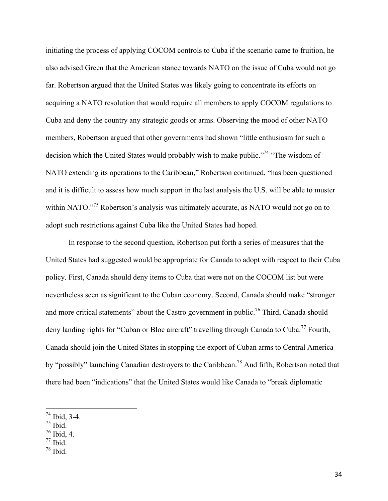initiating the process of applying COCOM controls to Cuba if the scenario came to fruition, he also advised Green that the American stance towards NATO on the issue of Cuba would not go far. Robertson argued that the United States was likely going to concentrate its efforts on acquiring a NATO resolution that would require all members to apply COCOM regulations to Cuba and deny the country any strategic goods or arms. Observing the mood of other NATO members, Robertson argued that other governments had shown "little enthusiasm for such a decision which the United States would probably wish to make public."<sup>74</sup> "The wisdom of NATO extending its operations to the Caribbean," Robertson continued, "has been questioned and it is difficult to assess how much support in the last analysis the U.S. will be able to muster within NATO."<sup>75</sup> Robertson's analysis was ultimately accurate, as NATO would not go on to adopt such restrictions against Cuba like the United States had hoped.

In response to the second question, Robertson put forth a series of measures that the United States had suggested would be appropriate for Canada to adopt with respect to their Cuba policy. First, Canada should deny items to Cuba that were not on the COCOM list but were nevertheless seen as significant to the Cuban economy. Second, Canada should make "stronger and more critical statements" about the Castro government in public.<sup>76</sup> Third, Canada should deny landing rights for "Cuban or Bloc aircraft" travelling through Canada to Cuba.<sup>77</sup> Fourth, Canada should join the United States in stopping the export of Cuban arms to Central America by "possibly" launching Canadian destroyers to the Caribbean.<sup>78</sup> And fifth, Robertson noted that there had been "indications" that the United States would like Canada to "break diplomatic

- 
- $77$  Ibid.
- $78$  Ibid.

 $^{74}$  Ibid, 3-4.<br> $^{75}$  Ibid.<br> $^{76}$  Ibid, 4.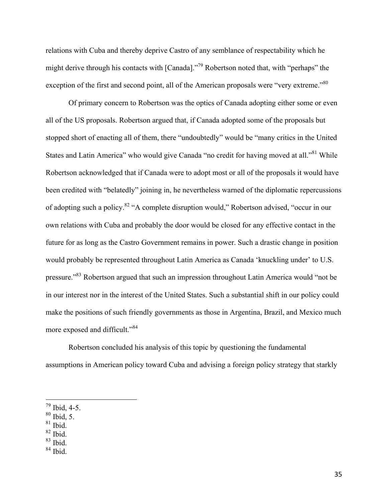relations with Cuba and thereby deprive Castro of any semblance of respectability which he might derive through his contacts with [Canada]."<sup>79</sup> Robertson noted that, with "perhaps" the exception of the first and second point, all of the American proposals were "very extreme."<sup>80</sup>

Of primary concern to Robertson was the optics of Canada adopting either some or even all of the US proposals. Robertson argued that, if Canada adopted some of the proposals but stopped short of enacting all of them, there "undoubtedly" would be "many critics in the United States and Latin America" who would give Canada "no credit for having moved at all."<sup>81</sup> While Robertson acknowledged that if Canada were to adopt most or all of the proposals it would have been credited with "belatedly" joining in, he nevertheless warned of the diplomatic repercussions of adopting such a policy.<sup>82</sup> "A complete disruption would," Robertson advised, "occur in our own relations with Cuba and probably the door would be closed for any effective contact in the future for as long as the Castro Government remains in power. Such a drastic change in position would probably be represented throughout Latin America as Canada 'knuckling under' to U.S. pressure."83 Robertson argued that such an impression throughout Latin America would "not be in our interest nor in the interest of the United States. Such a substantial shift in our policy could make the positions of such friendly governments as those in Argentina, Brazil, and Mexico much more exposed and difficult."<sup>84</sup>

Robertson concluded his analysis of this topic by questioning the fundamental assumptions in American policy toward Cuba and advising a foreign policy strategy that starkly

 $81$  Ibid.

 $^{79}$  Ibid, 4-5.<br> $^{80}$  Ibid, 5.

 $82$  Ibid.

<sup>83</sup> Ibid.

 $84$  Ibid.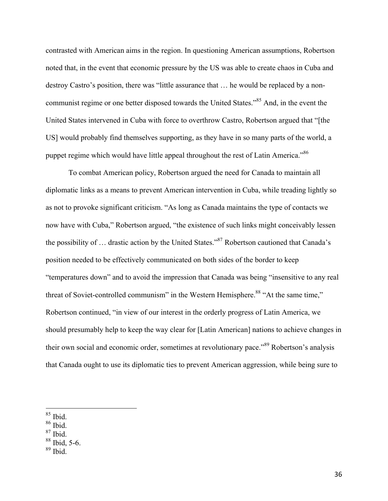contrasted with American aims in the region. In questioning American assumptions, Robertson noted that, in the event that economic pressure by the US was able to create chaos in Cuba and destroy Castro's position, there was "little assurance that … he would be replaced by a noncommunist regime or one better disposed towards the United States."<sup>85</sup> And, in the event the United States intervened in Cuba with force to overthrow Castro, Robertson argued that "[the US] would probably find themselves supporting, as they have in so many parts of the world, a puppet regime which would have little appeal throughout the rest of Latin America.<sup>86</sup>

To combat American policy, Robertson argued the need for Canada to maintain all diplomatic links as a means to prevent American intervention in Cuba, while treading lightly so as not to provoke significant criticism. "As long as Canada maintains the type of contacts we now have with Cuba," Robertson argued, "the existence of such links might conceivably lessen the possibility of … drastic action by the United States."87 Robertson cautioned that Canada's position needed to be effectively communicated on both sides of the border to keep "temperatures down" and to avoid the impression that Canada was being "insensitive to any real threat of Soviet-controlled communism" in the Western Hemisphere.<sup>88</sup> "At the same time," Robertson continued, "in view of our interest in the orderly progress of Latin America, we should presumably help to keep the way clear for [Latin American] nations to achieve changes in their own social and economic order, sometimes at revolutionary pace."<sup>89</sup> Robertson's analysis that Canada ought to use its diplomatic ties to prevent American aggression, while being sure to

 <sup>85</sup> Ibid.

 $^{86}$  Ibid.

 $87$  Ibid.

<sup>88</sup> Ibid, 5-6.

 $89$  Ibid.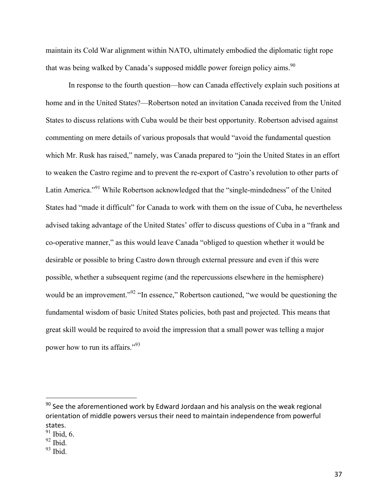maintain its Cold War alignment within NATO, ultimately embodied the diplomatic tight rope that was being walked by Canada's supposed middle power foreign policy aims.<sup>90</sup>

In response to the fourth question—how can Canada effectively explain such positions at home and in the United States?—Robertson noted an invitation Canada received from the United States to discuss relations with Cuba would be their best opportunity. Robertson advised against commenting on mere details of various proposals that would "avoid the fundamental question which Mr. Rusk has raised," namely, was Canada prepared to "join the United States in an effort to weaken the Castro regime and to prevent the re-export of Castro's revolution to other parts of Latin America."<sup>91</sup> While Robertson acknowledged that the "single-mindedness" of the United States had "made it difficult" for Canada to work with them on the issue of Cuba, he nevertheless advised taking advantage of the United States' offer to discuss questions of Cuba in a "frank and co-operative manner," as this would leave Canada "obliged to question whether it would be desirable or possible to bring Castro down through external pressure and even if this were possible, whether a subsequent regime (and the repercussions elsewhere in the hemisphere) would be an improvement."<sup>92</sup> "In essence," Robertson cautioned, "we would be questioning the fundamental wisdom of basic United States policies, both past and projected. This means that great skill would be required to avoid the impression that a small power was telling a major power how to run its affairs."<sup>93</sup>

 

 $90$  See the aforementioned work by Edward Jordaan and his analysis on the weak regional orientation of middle powers versus their need to maintain independence from powerful states.

 $91$  Ibid, 6.

 $92$  Ibid.

 $93$  Ibid.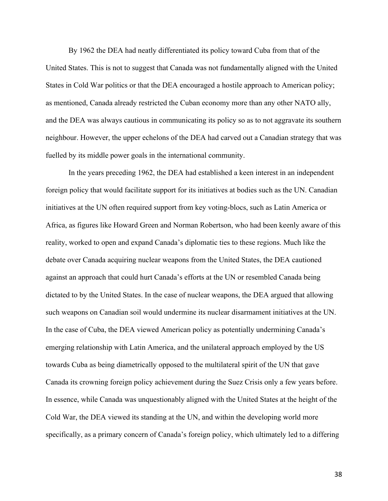By 1962 the DEA had neatly differentiated its policy toward Cuba from that of the United States. This is not to suggest that Canada was not fundamentally aligned with the United States in Cold War politics or that the DEA encouraged a hostile approach to American policy; as mentioned, Canada already restricted the Cuban economy more than any other NATO ally, and the DEA was always cautious in communicating its policy so as to not aggravate its southern neighbour. However, the upper echelons of the DEA had carved out a Canadian strategy that was fuelled by its middle power goals in the international community.

In the years preceding 1962, the DEA had established a keen interest in an independent foreign policy that would facilitate support for its initiatives at bodies such as the UN. Canadian initiatives at the UN often required support from key voting-blocs, such as Latin America or Africa, as figures like Howard Green and Norman Robertson, who had been keenly aware of this reality, worked to open and expand Canada's diplomatic ties to these regions. Much like the debate over Canada acquiring nuclear weapons from the United States, the DEA cautioned against an approach that could hurt Canada's efforts at the UN or resembled Canada being dictated to by the United States. In the case of nuclear weapons, the DEA argued that allowing such weapons on Canadian soil would undermine its nuclear disarmament initiatives at the UN. In the case of Cuba, the DEA viewed American policy as potentially undermining Canada's emerging relationship with Latin America, and the unilateral approach employed by the US towards Cuba as being diametrically opposed to the multilateral spirit of the UN that gave Canada its crowning foreign policy achievement during the Suez Crisis only a few years before. In essence, while Canada was unquestionably aligned with the United States at the height of the Cold War, the DEA viewed its standing at the UN, and within the developing world more specifically, as a primary concern of Canada's foreign policy, which ultimately led to a differing

38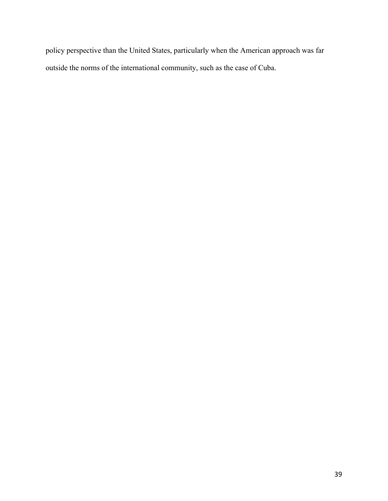policy perspective than the United States, particularly when the American approach was far outside the norms of the international community, such as the case of Cuba.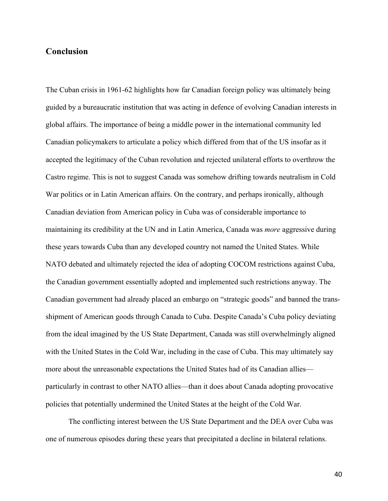## **Conclusion**

The Cuban crisis in 1961-62 highlights how far Canadian foreign policy was ultimately being guided by a bureaucratic institution that was acting in defence of evolving Canadian interests in global affairs. The importance of being a middle power in the international community led Canadian policymakers to articulate a policy which differed from that of the US insofar as it accepted the legitimacy of the Cuban revolution and rejected unilateral efforts to overthrow the Castro regime. This is not to suggest Canada was somehow drifting towards neutralism in Cold War politics or in Latin American affairs. On the contrary, and perhaps ironically, although Canadian deviation from American policy in Cuba was of considerable importance to maintaining its credibility at the UN and in Latin America, Canada was *more* aggressive during these years towards Cuba than any developed country not named the United States. While NATO debated and ultimately rejected the idea of adopting COCOM restrictions against Cuba, the Canadian government essentially adopted and implemented such restrictions anyway. The Canadian government had already placed an embargo on "strategic goods" and banned the transshipment of American goods through Canada to Cuba. Despite Canada's Cuba policy deviating from the ideal imagined by the US State Department, Canada was still overwhelmingly aligned with the United States in the Cold War, including in the case of Cuba. This may ultimately say more about the unreasonable expectations the United States had of its Canadian allies particularly in contrast to other NATO allies—than it does about Canada adopting provocative policies that potentially undermined the United States at the height of the Cold War.

The conflicting interest between the US State Department and the DEA over Cuba was one of numerous episodes during these years that precipitated a decline in bilateral relations.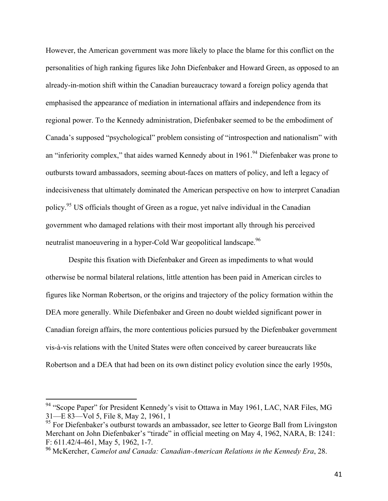However, the American government was more likely to place the blame for this conflict on the personalities of high ranking figures like John Diefenbaker and Howard Green, as opposed to an already-in-motion shift within the Canadian bureaucracy toward a foreign policy agenda that emphasised the appearance of mediation in international affairs and independence from its regional power. To the Kennedy administration, Diefenbaker seemed to be the embodiment of Canada's supposed "psychological" problem consisting of "introspection and nationalism" with an "inferiority complex," that aides warned Kennedy about in 1961.<sup>94</sup> Diefenbaker was prone to outbursts toward ambassadors, seeming about-faces on matters of policy, and left a legacy of indecisiveness that ultimately dominated the American perspective on how to interpret Canadian policy.95 US officials thought of Green as a rogue, yet naïve individual in the Canadian government who damaged relations with their most important ally through his perceived neutralist manoeuvering in a hyper-Cold War geopolitical landscape.<sup>96</sup>

Despite this fixation with Diefenbaker and Green as impediments to what would otherwise be normal bilateral relations, little attention has been paid in American circles to figures like Norman Robertson, or the origins and trajectory of the policy formation within the DEA more generally. While Diefenbaker and Green no doubt wielded significant power in Canadian foreign affairs, the more contentious policies pursued by the Diefenbaker government vis-à-vis relations with the United States were often conceived by career bureaucrats like Robertson and a DEA that had been on its own distinct policy evolution since the early 1950s,

 $94$  "Scope Paper" for President Kennedy's visit to Ottawa in May 1961, LAC, NAR Files, MG 31—E 83—Vol 5, File 8, May 2, 1961, 1

<sup>&</sup>lt;sup>95</sup> For Diefenbaker's outburst towards an ambassador, see letter to George Ball from Livingston Merchant on John Diefenbaker's "tirade" in official meeting on May 4, 1962, NARA, B: 1241: F: 611.42/4-461, May 5, 1962, 1-7.

<sup>96</sup> McKercher, *Camelot and Canada: Canadian-American Relations in the Kennedy Era*, 28.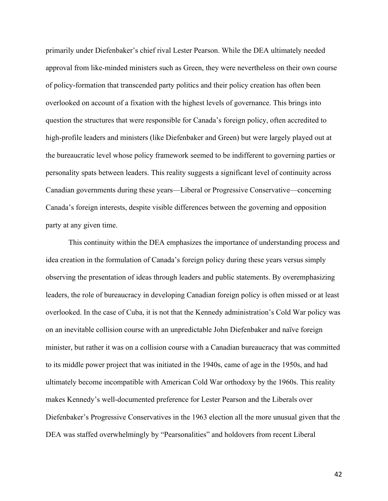primarily under Diefenbaker's chief rival Lester Pearson. While the DEA ultimately needed approval from like-minded ministers such as Green, they were nevertheless on their own course of policy-formation that transcended party politics and their policy creation has often been overlooked on account of a fixation with the highest levels of governance. This brings into question the structures that were responsible for Canada's foreign policy, often accredited to high-profile leaders and ministers (like Diefenbaker and Green) but were largely played out at the bureaucratic level whose policy framework seemed to be indifferent to governing parties or personality spats between leaders. This reality suggests a significant level of continuity across Canadian governments during these years—Liberal or Progressive Conservative—concerning Canada's foreign interests, despite visible differences between the governing and opposition party at any given time.

This continuity within the DEA emphasizes the importance of understanding process and idea creation in the formulation of Canada's foreign policy during these years versus simply observing the presentation of ideas through leaders and public statements. By overemphasizing leaders, the role of bureaucracy in developing Canadian foreign policy is often missed or at least overlooked. In the case of Cuba, it is not that the Kennedy administration's Cold War policy was on an inevitable collision course with an unpredictable John Diefenbaker and naïve foreign minister, but rather it was on a collision course with a Canadian bureaucracy that was committed to its middle power project that was initiated in the 1940s, came of age in the 1950s, and had ultimately become incompatible with American Cold War orthodoxy by the 1960s. This reality makes Kennedy's well-documented preference for Lester Pearson and the Liberals over Diefenbaker's Progressive Conservatives in the 1963 election all the more unusual given that the DEA was staffed overwhelmingly by "Pearsonalities" and holdovers from recent Liberal

42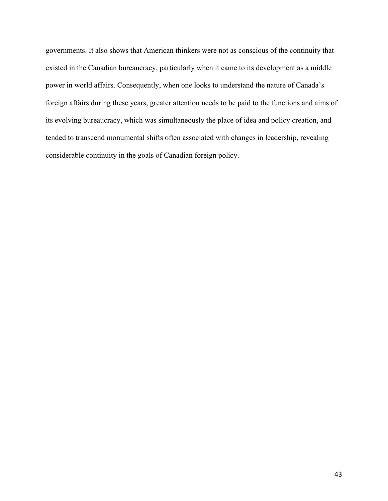governments. It also shows that American thinkers were not as conscious of the continuity that existed in the Canadian bureaucracy, particularly when it came to its development as a middle power in world affairs. Consequently, when one looks to understand the nature of Canada's foreign affairs during these years, greater attention needs to be paid to the functions and aims of its evolving bureaucracy, which was simultaneously the place of idea and policy creation, and tended to transcend monumental shifts often associated with changes in leadership, revealing considerable continuity in the goals of Canadian foreign policy.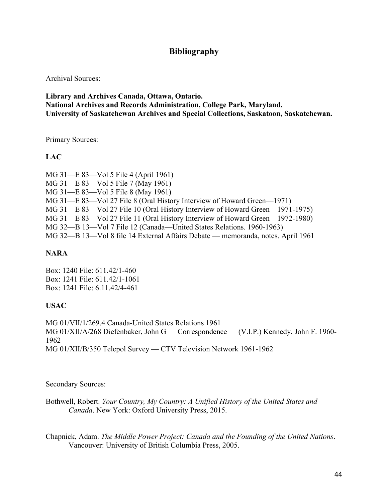## **Bibliography**

Archival Sources:

**Library and Archives Canada, Ottawa, Ontario. National Archives and Records Administration, College Park, Maryland. University of Saskatchewan Archives and Special Collections, Saskatoon, Saskatchewan.**

Primary Sources:

**LAC**

MG 31—E 83—Vol 5 File 4 (April 1961) MG 31—E 83—Vol 5 File 7 (May 1961) MG 31—E 83—Vol 5 File 8 (May 1961) MG 31—E 83—Vol 27 File 8 (Oral History Interview of Howard Green—1971) MG 31—E 83—Vol 27 File 10 (Oral History Interview of Howard Green—1971-1975) MG 31—E 83—Vol 27 File 11 (Oral History Interview of Howard Green—1972-1980) MG 32—B 13—Vol 7 File 12 (Canada—United States Relations. 1960-1963) MG 32—B 13—Vol 8 file 14 External Affairs Debate — memoranda, notes. April 1961

### **NARA**

Box: 1240 File: 611.42/1-460 Box: 1241 File: 611.42/1-1061 Box: 1241 File: 6.11.42/4-461

### **USAC**

MG 01/VII/1/269.4 Canada-United States Relations 1961 MG 01/XII/A/268 Diefenbaker, John G — Correspondence — (V.I.P.) Kennedy, John F. 1960- 1962 MG 01/XII/B/350 Telepol Survey — CTV Television Network 1961-1962

Secondary Sources:

Bothwell, Robert. *Your Country, My Country: A Unified History of the United States and Canada*. New York: Oxford University Press, 2015.

Chapnick, Adam. *The Middle Power Project: Canada and the Founding of the United Nations*. Vancouver: University of British Columbia Press, 2005.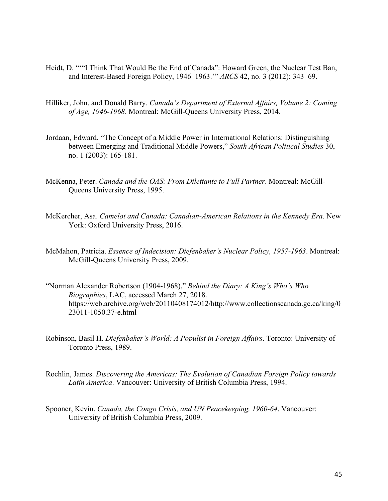- Heidt, D. "'"I Think That Would Be the End of Canada": Howard Green, the Nuclear Test Ban, and Interest-Based Foreign Policy, 1946–1963.'" *ARCS* 42, no. 3 (2012): 343–69.
- Hilliker, John, and Donald Barry. *Canada's Department of External Affairs, Volume 2: Coming of Age, 1946-1968*. Montreal: McGill-Queens University Press, 2014.
- Jordaan, Edward. "The Concept of a Middle Power in International Relations: Distinguishing between Emerging and Traditional Middle Powers," *South African Political Studies* 30, no. 1 (2003): 165-181.
- McKenna, Peter. *Canada and the OAS: From Dilettante to Full Partner*. Montreal: McGill-Queens University Press, 1995.
- McKercher, Asa. *Camelot and Canada: Canadian-American Relations in the Kennedy Era*. New York: Oxford University Press, 2016.
- McMahon, Patricia. *Essence of Indecision: Diefenbaker's Nuclear Policy, 1957-1963*. Montreal: McGill-Queens University Press, 2009.
- "Norman Alexander Robertson (1904-1968)," *Behind the Diary: A King's Who's Who Biographies*, LAC, accessed March 27, 2018. https://web.archive.org/web/20110408174012/http://www.collectionscanada.gc.ca/king/0 23011-1050.37-e.html
- Robinson, Basil H. *Diefenbaker's World: A Populist in Foreign Affairs*. Toronto: University of Toronto Press, 1989.
- Rochlin, James. *Discovering the Americas: The Evolution of Canadian Foreign Policy towards Latin America*. Vancouver: University of British Columbia Press, 1994.
- Spooner, Kevin. *Canada, the Congo Crisis, and UN Peacekeeping, 1960-64*. Vancouver: University of British Columbia Press, 2009.